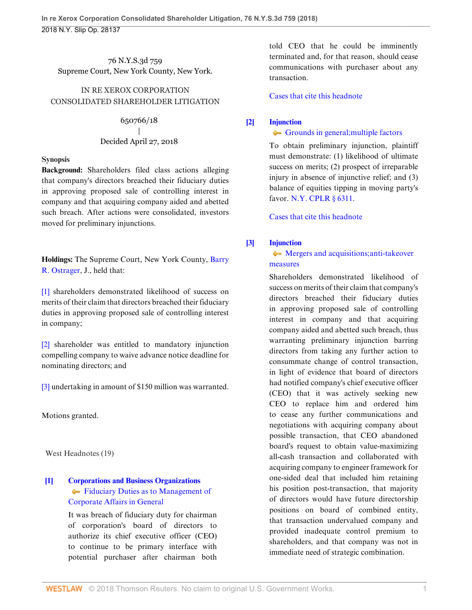76 N.Y.S.3d 759 Supreme Court, New York County, New York.

## IN RE XEROX CORPORATION CONSOLIDATED SHAREHOLDER LITIGATION

650766/18 | Decided April 27, 2018

#### **Synopsis**

**Background:** Shareholders filed class actions alleging that company's directors breached their fiduciary duties in approving proposed sale of controlling interest in company and that acquiring company aided and abetted such breach. After actions were consolidated, investors moved for preliminary injunctions.

**Holdings:** The Supreme Court, New York County, [Barry](http://www.westlaw.com/Link/Document/FullText?findType=h&pubNum=176284&cite=0190674599&originatingDoc=Ib9acdcd04f0311e8ab5389d3771bc525&refType=RQ&originationContext=document&vr=3.0&rs=cblt1.0&transitionType=DocumentItem&contextData=(sc.Search)) [R. Ostrager,](http://www.westlaw.com/Link/Document/FullText?findType=h&pubNum=176284&cite=0190674599&originatingDoc=Ib9acdcd04f0311e8ab5389d3771bc525&refType=RQ&originationContext=document&vr=3.0&rs=cblt1.0&transitionType=DocumentItem&contextData=(sc.Search)) J., held that:

[\[1\]](#page-0-0) shareholders demonstrated likelihood of success on merits of their claim that directors breached their fiduciary duties in approving proposed sale of controlling interest in company;

[\[2\]](#page-2-0) shareholder was entitled to mandatory injunction compelling company to waive advance notice deadline for nominating directors; and

[\[3\]](#page-2-1) undertaking in amount of \$150 million was warranted.

Motions granted.

West Headnotes (19)

## <span id="page-0-1"></span>**[\[1\]](#page-7-0) [Corporations and Business Organizations](http://www.westlaw.com/Browse/Home/KeyNumber/101/View.html?docGuid=Ib9acdcd04f0311e8ab5389d3771bc525&originationContext=document&vr=3.0&rs=cblt1.0&transitionType=DocumentItem&contextData=(sc.Search))** [Fiduciary Duties as to Management of](http://www.westlaw.com/Browse/Home/KeyNumber/101k1840/View.html?docGuid=Ib9acdcd04f0311e8ab5389d3771bc525&originationContext=document&vr=3.0&rs=cblt1.0&transitionType=DocumentItem&contextData=(sc.Search)) [Corporate Affairs in General](http://www.westlaw.com/Browse/Home/KeyNumber/101k1840/View.html?docGuid=Ib9acdcd04f0311e8ab5389d3771bc525&originationContext=document&vr=3.0&rs=cblt1.0&transitionType=DocumentItem&contextData=(sc.Search))

It was breach of fiduciary duty for chairman of corporation's board of directors to authorize its chief executive officer (CEO) to continue to be primary interface with potential purchaser after chairman both told CEO that he could be imminently terminated and, for that reason, should cease communications with purchaser about any transaction.

[Cases that cite this headnote](http://www.westlaw.com/Link/RelatedInformation/DocHeadnoteLink?docGuid=Ib9acdcd04f0311e8ab5389d3771bc525&headnoteId=204444884000120180907001256&originationContext=document&vr=3.0&rs=cblt1.0&transitionType=CitingReferences&contextData=(sc.Search))

## <span id="page-0-2"></span>**[\[2\]](#page-10-0) [Injunction](http://www.westlaw.com/Browse/Home/KeyNumber/212/View.html?docGuid=Ib9acdcd04f0311e8ab5389d3771bc525&originationContext=document&vr=3.0&rs=cblt1.0&transitionType=DocumentItem&contextData=(sc.Search))**

## [Grounds in general; multiple factors](http://www.westlaw.com/Browse/Home/KeyNumber/212k1092/View.html?docGuid=Ib9acdcd04f0311e8ab5389d3771bc525&originationContext=document&vr=3.0&rs=cblt1.0&transitionType=DocumentItem&contextData=(sc.Search))

To obtain preliminary injunction, plaintiff must demonstrate: (1) likelihood of ultimate success on merits; (2) prospect of irreparable injury in absence of injunctive relief; and (3) balance of equities tipping in moving party's favor. [N.Y. CPLR § 6311.](http://www.westlaw.com/Link/Document/FullText?findType=L&pubNum=1000059&cite=NYCPS6311&originatingDoc=Ib9acdcd04f0311e8ab5389d3771bc525&refType=LQ&originationContext=document&vr=3.0&rs=cblt1.0&transitionType=DocumentItem&contextData=(sc.Search))

[Cases that cite this headnote](http://www.westlaw.com/Link/RelatedInformation/DocHeadnoteLink?docGuid=Ib9acdcd04f0311e8ab5389d3771bc525&headnoteId=204444884000220180907001256&originationContext=document&vr=3.0&rs=cblt1.0&transitionType=CitingReferences&contextData=(sc.Search))

## <span id="page-0-0"></span>**[\[3\]](#page-10-1) [Injunction](http://www.westlaw.com/Browse/Home/KeyNumber/212/View.html?docGuid=Ib9acdcd04f0311e8ab5389d3771bc525&originationContext=document&vr=3.0&rs=cblt1.0&transitionType=DocumentItem&contextData=(sc.Search))**

## [Mergers and acquisitions; anti-takeover](http://www.westlaw.com/Browse/Home/KeyNumber/212k1471/View.html?docGuid=Ib9acdcd04f0311e8ab5389d3771bc525&originationContext=document&vr=3.0&rs=cblt1.0&transitionType=DocumentItem&contextData=(sc.Search)) [measures](http://www.westlaw.com/Browse/Home/KeyNumber/212k1471/View.html?docGuid=Ib9acdcd04f0311e8ab5389d3771bc525&originationContext=document&vr=3.0&rs=cblt1.0&transitionType=DocumentItem&contextData=(sc.Search))

Shareholders demonstrated likelihood of success on merits of their claim that company's directors breached their fiduciary duties in approving proposed sale of controlling interest in company and that acquiring company aided and abetted such breach, thus warranting preliminary injunction barring directors from taking any further action to consummate change of control transaction, in light of evidence that board of directors had notified company's chief executive officer (CEO) that it was actively seeking new CEO to replace him and ordered him to cease any further communications and negotiations with acquiring company about possible transaction, that CEO abandoned board's request to obtain value-maximizing all-cash transaction and collaborated with acquiring company to engineer framework for one-sided deal that included him retaining his position post-transaction, that majority of directors would have future directorship positions on board of combined entity, that transaction undervalued company and provided inadequate control premium to shareholders, and that company was not in immediate need of strategic combination.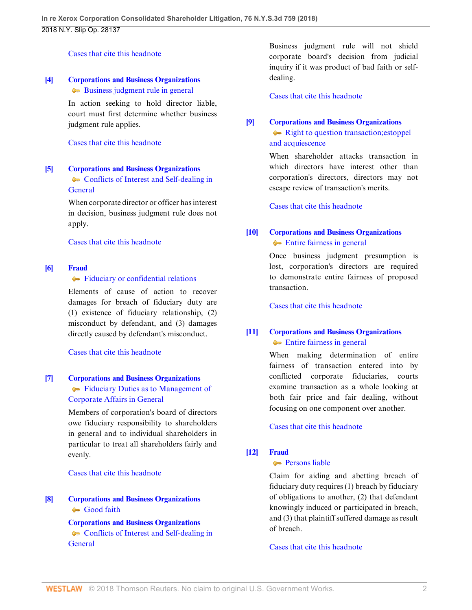#### [Cases that cite this headnote](http://www.westlaw.com/Link/RelatedInformation/DocHeadnoteLink?docGuid=Ib9acdcd04f0311e8ab5389d3771bc525&headnoteId=204444884000320180907001256&originationContext=document&vr=3.0&rs=cblt1.0&transitionType=CitingReferences&contextData=(sc.Search))

#### <span id="page-1-0"></span>**[\[4\]](#page-10-2) [Corporations and Business Organizations](http://www.westlaw.com/Browse/Home/KeyNumber/101/View.html?docGuid=Ib9acdcd04f0311e8ab5389d3771bc525&originationContext=document&vr=3.0&rs=cblt1.0&transitionType=DocumentItem&contextData=(sc.Search))** [Business judgment rule in general](http://www.westlaw.com/Browse/Home/KeyNumber/101k1842/View.html?docGuid=Ib9acdcd04f0311e8ab5389d3771bc525&originationContext=document&vr=3.0&rs=cblt1.0&transitionType=DocumentItem&contextData=(sc.Search))

In action seeking to hold director liable, court must first determine whether business judgment rule applies.

[Cases that cite this headnote](http://www.westlaw.com/Link/RelatedInformation/DocHeadnoteLink?docGuid=Ib9acdcd04f0311e8ab5389d3771bc525&headnoteId=204444884000420180907001256&originationContext=document&vr=3.0&rs=cblt1.0&transitionType=CitingReferences&contextData=(sc.Search))

## <span id="page-1-1"></span>**[\[5\]](#page-10-3) [Corporations and Business Organizations](http://www.westlaw.com/Browse/Home/KeyNumber/101/View.html?docGuid=Ib9acdcd04f0311e8ab5389d3771bc525&originationContext=document&vr=3.0&rs=cblt1.0&transitionType=DocumentItem&contextData=(sc.Search))** • [Conflicts of Interest and Self-dealing in](http://www.westlaw.com/Browse/Home/KeyNumber/101k1867/View.html?docGuid=Ib9acdcd04f0311e8ab5389d3771bc525&originationContext=document&vr=3.0&rs=cblt1.0&transitionType=DocumentItem&contextData=(sc.Search)) **[General](http://www.westlaw.com/Browse/Home/KeyNumber/101k1867/View.html?docGuid=Ib9acdcd04f0311e8ab5389d3771bc525&originationContext=document&vr=3.0&rs=cblt1.0&transitionType=DocumentItem&contextData=(sc.Search))**

When corporate director or officer has interest in decision, business judgment rule does not apply.

#### [Cases that cite this headnote](http://www.westlaw.com/Link/RelatedInformation/DocHeadnoteLink?docGuid=Ib9acdcd04f0311e8ab5389d3771bc525&headnoteId=204444884000520180907001256&originationContext=document&vr=3.0&rs=cblt1.0&transitionType=CitingReferences&contextData=(sc.Search))

## <span id="page-1-2"></span>**[\[6\]](#page-10-4) [Fraud](http://www.westlaw.com/Browse/Home/KeyNumber/184/View.html?docGuid=Ib9acdcd04f0311e8ab5389d3771bc525&originationContext=document&vr=3.0&rs=cblt1.0&transitionType=DocumentItem&contextData=(sc.Search))**

[Fiduciary or confidential relations](http://www.westlaw.com/Browse/Home/KeyNumber/184k7/View.html?docGuid=Ib9acdcd04f0311e8ab5389d3771bc525&originationContext=document&vr=3.0&rs=cblt1.0&transitionType=DocumentItem&contextData=(sc.Search))

Elements of cause of action to recover damages for breach of fiduciary duty are (1) existence of fiduciary relationship, (2) misconduct by defendant, and (3) damages directly caused by defendant's misconduct.

[Cases that cite this headnote](http://www.westlaw.com/Link/RelatedInformation/DocHeadnoteLink?docGuid=Ib9acdcd04f0311e8ab5389d3771bc525&headnoteId=204444884000620180907001256&originationContext=document&vr=3.0&rs=cblt1.0&transitionType=CitingReferences&contextData=(sc.Search))

## <span id="page-1-3"></span>**[\[7\]](#page-10-5) [Corporations and Business Organizations](http://www.westlaw.com/Browse/Home/KeyNumber/101/View.html?docGuid=Ib9acdcd04f0311e8ab5389d3771bc525&originationContext=document&vr=3.0&rs=cblt1.0&transitionType=DocumentItem&contextData=(sc.Search))** [Fiduciary Duties as to Management of](http://www.westlaw.com/Browse/Home/KeyNumber/101k1840/View.html?docGuid=Ib9acdcd04f0311e8ab5389d3771bc525&originationContext=document&vr=3.0&rs=cblt1.0&transitionType=DocumentItem&contextData=(sc.Search)) [Corporate Affairs in General](http://www.westlaw.com/Browse/Home/KeyNumber/101k1840/View.html?docGuid=Ib9acdcd04f0311e8ab5389d3771bc525&originationContext=document&vr=3.0&rs=cblt1.0&transitionType=DocumentItem&contextData=(sc.Search))

Members of corporation's board of directors owe fiduciary responsibility to shareholders in general and to individual shareholders in particular to treat all shareholders fairly and evenly.

[Cases that cite this headnote](http://www.westlaw.com/Link/RelatedInformation/DocHeadnoteLink?docGuid=Ib9acdcd04f0311e8ab5389d3771bc525&headnoteId=204444884000720180907001256&originationContext=document&vr=3.0&rs=cblt1.0&transitionType=CitingReferences&contextData=(sc.Search))

# <span id="page-1-4"></span>**[\[8\]](#page-10-6) [Corporations and Business Organizations](http://www.westlaw.com/Browse/Home/KeyNumber/101/View.html?docGuid=Ib9acdcd04f0311e8ab5389d3771bc525&originationContext=document&vr=3.0&rs=cblt1.0&transitionType=DocumentItem&contextData=(sc.Search))** [Good faith](http://www.westlaw.com/Browse/Home/KeyNumber/101k1844/View.html?docGuid=Ib9acdcd04f0311e8ab5389d3771bc525&originationContext=document&vr=3.0&rs=cblt1.0&transitionType=DocumentItem&contextData=(sc.Search))

**[Corporations and Business Organizations](http://www.westlaw.com/Browse/Home/KeyNumber/101/View.html?docGuid=Ib9acdcd04f0311e8ab5389d3771bc525&originationContext=document&vr=3.0&rs=cblt1.0&transitionType=DocumentItem&contextData=(sc.Search))** • [Conflicts of Interest and Self-dealing in](http://www.westlaw.com/Browse/Home/KeyNumber/101k1867/View.html?docGuid=Ib9acdcd04f0311e8ab5389d3771bc525&originationContext=document&vr=3.0&rs=cblt1.0&transitionType=DocumentItem&contextData=(sc.Search)) **[General](http://www.westlaw.com/Browse/Home/KeyNumber/101k1867/View.html?docGuid=Ib9acdcd04f0311e8ab5389d3771bc525&originationContext=document&vr=3.0&rs=cblt1.0&transitionType=DocumentItem&contextData=(sc.Search))** 

Business judgment rule will not shield corporate board's decision from judicial inquiry if it was product of bad faith or selfdealing.

[Cases that cite this headnote](http://www.westlaw.com/Link/RelatedInformation/DocHeadnoteLink?docGuid=Ib9acdcd04f0311e8ab5389d3771bc525&headnoteId=204444884000820180907001256&originationContext=document&vr=3.0&rs=cblt1.0&transitionType=CitingReferences&contextData=(sc.Search))

## <span id="page-1-5"></span>**[\[9\]](#page-10-7) [Corporations and Business Organizations](http://www.westlaw.com/Browse/Home/KeyNumber/101/View.html?docGuid=Ib9acdcd04f0311e8ab5389d3771bc525&originationContext=document&vr=3.0&rs=cblt1.0&transitionType=DocumentItem&contextData=(sc.Search))** [Right to question transaction; estoppel](http://www.westlaw.com/Browse/Home/KeyNumber/101k1871/View.html?docGuid=Ib9acdcd04f0311e8ab5389d3771bc525&originationContext=document&vr=3.0&rs=cblt1.0&transitionType=DocumentItem&contextData=(sc.Search)) [and acquiescence](http://www.westlaw.com/Browse/Home/KeyNumber/101k1871/View.html?docGuid=Ib9acdcd04f0311e8ab5389d3771bc525&originationContext=document&vr=3.0&rs=cblt1.0&transitionType=DocumentItem&contextData=(sc.Search))

When shareholder attacks transaction in which directors have interest other than corporation's directors, directors may not escape review of transaction's merits.

[Cases that cite this headnote](http://www.westlaw.com/Link/RelatedInformation/DocHeadnoteLink?docGuid=Ib9acdcd04f0311e8ab5389d3771bc525&headnoteId=204444884000920180907001256&originationContext=document&vr=3.0&rs=cblt1.0&transitionType=CitingReferences&contextData=(sc.Search))

## <span id="page-1-6"></span>**[\[10\]](#page-10-8) [Corporations and Business Organizations](http://www.westlaw.com/Browse/Home/KeyNumber/101/View.html?docGuid=Ib9acdcd04f0311e8ab5389d3771bc525&originationContext=document&vr=3.0&rs=cblt1.0&transitionType=DocumentItem&contextData=(sc.Search)) [Entire fairness in general](http://www.westlaw.com/Browse/Home/KeyNumber/101k1869/View.html?docGuid=Ib9acdcd04f0311e8ab5389d3771bc525&originationContext=document&vr=3.0&rs=cblt1.0&transitionType=DocumentItem&contextData=(sc.Search))**

Once business judgment presumption is lost, corporation's directors are required to demonstrate entire fairness of proposed transaction.

[Cases that cite this headnote](http://www.westlaw.com/Link/RelatedInformation/DocHeadnoteLink?docGuid=Ib9acdcd04f0311e8ab5389d3771bc525&headnoteId=204444884001020180907001256&originationContext=document&vr=3.0&rs=cblt1.0&transitionType=CitingReferences&contextData=(sc.Search))

## <span id="page-1-7"></span>**[\[11\]](#page-11-0) [Corporations and Business Organizations](http://www.westlaw.com/Browse/Home/KeyNumber/101/View.html?docGuid=Ib9acdcd04f0311e8ab5389d3771bc525&originationContext=document&vr=3.0&rs=cblt1.0&transitionType=DocumentItem&contextData=(sc.Search))** [Entire fairness in general](http://www.westlaw.com/Browse/Home/KeyNumber/101k1869/View.html?docGuid=Ib9acdcd04f0311e8ab5389d3771bc525&originationContext=document&vr=3.0&rs=cblt1.0&transitionType=DocumentItem&contextData=(sc.Search))

When making determination of entire fairness of transaction entered into by conflicted corporate fiduciaries, courts examine transaction as a whole looking at both fair price and fair dealing, without focusing on one component over another.

[Cases that cite this headnote](http://www.westlaw.com/Link/RelatedInformation/DocHeadnoteLink?docGuid=Ib9acdcd04f0311e8ab5389d3771bc525&headnoteId=204444884001120180907001256&originationContext=document&vr=3.0&rs=cblt1.0&transitionType=CitingReferences&contextData=(sc.Search))

## <span id="page-1-8"></span>**[\[12\]](#page-11-1) [Fraud](http://www.westlaw.com/Browse/Home/KeyNumber/184/View.html?docGuid=Ib9acdcd04f0311e8ab5389d3771bc525&originationContext=document&vr=3.0&rs=cblt1.0&transitionType=DocumentItem&contextData=(sc.Search))**

## **Persons** liable

Claim for aiding and abetting breach of fiduciary duty requires (1) breach by fiduciary of obligations to another, (2) that defendant knowingly induced or participated in breach, and (3) that plaintiff suffered damage as result of breach.

[Cases that cite this headnote](http://www.westlaw.com/Link/RelatedInformation/DocHeadnoteLink?docGuid=Ib9acdcd04f0311e8ab5389d3771bc525&headnoteId=204444884001220180907001256&originationContext=document&vr=3.0&rs=cblt1.0&transitionType=CitingReferences&contextData=(sc.Search))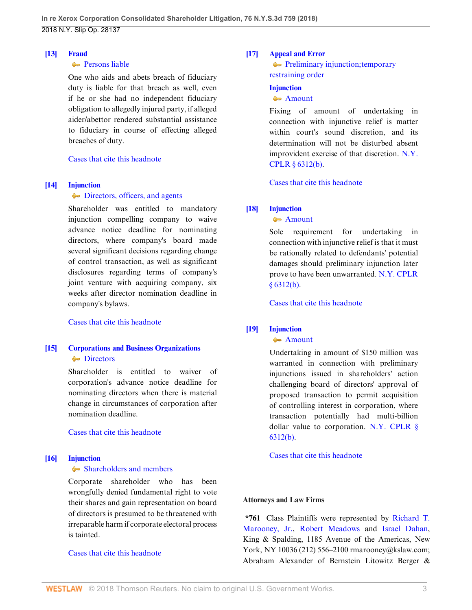#### <span id="page-2-2"></span>**[\[13\]](#page-11-2) [Fraud](http://www.westlaw.com/Browse/Home/KeyNumber/184/View.html?docGuid=Ib9acdcd04f0311e8ab5389d3771bc525&originationContext=document&vr=3.0&rs=cblt1.0&transitionType=DocumentItem&contextData=(sc.Search))**

### **[Persons liable](http://www.westlaw.com/Browse/Home/KeyNumber/184k30/View.html?docGuid=Ib9acdcd04f0311e8ab5389d3771bc525&originationContext=document&vr=3.0&rs=cblt1.0&transitionType=DocumentItem&contextData=(sc.Search))**

One who aids and abets breach of fiduciary duty is liable for that breach as well, even if he or she had no independent fiduciary obligation to allegedly injured party, if alleged aider/abettor rendered substantial assistance to fiduciary in course of effecting alleged breaches of duty.

[Cases that cite this headnote](http://www.westlaw.com/Link/RelatedInformation/DocHeadnoteLink?docGuid=Ib9acdcd04f0311e8ab5389d3771bc525&headnoteId=204444884001320180907001256&originationContext=document&vr=3.0&rs=cblt1.0&transitionType=CitingReferences&contextData=(sc.Search))

## <span id="page-2-0"></span>**[\[14\]](#page-11-3) [Injunction](http://www.westlaw.com/Browse/Home/KeyNumber/212/View.html?docGuid=Ib9acdcd04f0311e8ab5389d3771bc525&originationContext=document&vr=3.0&rs=cblt1.0&transitionType=DocumentItem&contextData=(sc.Search))**

#### $\blacktriangleright$  [Directors, officers, and agents](http://www.westlaw.com/Browse/Home/KeyNumber/212k1468/View.html?docGuid=Ib9acdcd04f0311e8ab5389d3771bc525&originationContext=document&vr=3.0&rs=cblt1.0&transitionType=DocumentItem&contextData=(sc.Search))

Shareholder was entitled to mandatory injunction compelling company to waive advance notice deadline for nominating directors, where company's board made several significant decisions regarding change of control transaction, as well as significant disclosures regarding terms of company's joint venture with acquiring company, six weeks after director nomination deadline in company's bylaws.

[Cases that cite this headnote](http://www.westlaw.com/Link/RelatedInformation/DocHeadnoteLink?docGuid=Ib9acdcd04f0311e8ab5389d3771bc525&headnoteId=204444884001620180907001256&originationContext=document&vr=3.0&rs=cblt1.0&transitionType=CitingReferences&contextData=(sc.Search))

## <span id="page-2-3"></span>**[\[15\]](#page-12-0) [Corporations and Business Organizations](http://www.westlaw.com/Browse/Home/KeyNumber/101/View.html?docGuid=Ib9acdcd04f0311e8ab5389d3771bc525&originationContext=document&vr=3.0&rs=cblt1.0&transitionType=DocumentItem&contextData=(sc.Search)) [Directors](http://www.westlaw.com/Browse/Home/KeyNumber/101VII(B)1/View.html?docGuid=Ib9acdcd04f0311e8ab5389d3771bc525&originationContext=document&vr=3.0&rs=cblt1.0&transitionType=DocumentItem&contextData=(sc.Search))**

Shareholder is entitled to waiver of corporation's advance notice deadline for nominating directors when there is material change in circumstances of corporation after nomination deadline.

[Cases that cite this headnote](http://www.westlaw.com/Link/RelatedInformation/DocHeadnoteLink?docGuid=Ib9acdcd04f0311e8ab5389d3771bc525&headnoteId=204444884001520180907001256&originationContext=document&vr=3.0&rs=cblt1.0&transitionType=CitingReferences&contextData=(sc.Search))

## <span id="page-2-4"></span>**[\[16\]](#page-13-0) [Injunction](http://www.westlaw.com/Browse/Home/KeyNumber/212/View.html?docGuid=Ib9acdcd04f0311e8ab5389d3771bc525&originationContext=document&vr=3.0&rs=cblt1.0&transitionType=DocumentItem&contextData=(sc.Search))**

#### • [Shareholders and members](http://www.westlaw.com/Browse/Home/KeyNumber/212k1467/View.html?docGuid=Ib9acdcd04f0311e8ab5389d3771bc525&originationContext=document&vr=3.0&rs=cblt1.0&transitionType=DocumentItem&contextData=(sc.Search))

Corporate shareholder who has been wrongfully denied fundamental right to vote their shares and gain representation on board of directors is presumed to be threatened with irreparable harm if corporate electoral process is tainted.

## [Cases that cite this headnote](http://www.westlaw.com/Link/RelatedInformation/DocHeadnoteLink?docGuid=Ib9acdcd04f0311e8ab5389d3771bc525&headnoteId=204444884001720180907001256&originationContext=document&vr=3.0&rs=cblt1.0&transitionType=CitingReferences&contextData=(sc.Search))

## <span id="page-2-5"></span>**[\[17\]](#page-13-1) [Appeal and Error](http://www.westlaw.com/Browse/Home/KeyNumber/30/View.html?docGuid=Ib9acdcd04f0311e8ab5389d3771bc525&originationContext=document&vr=3.0&rs=cblt1.0&transitionType=DocumentItem&contextData=(sc.Search))**

**[Preliminary injunction; temporary](http://www.westlaw.com/Browse/Home/KeyNumber/30k3664/View.html?docGuid=Ib9acdcd04f0311e8ab5389d3771bc525&originationContext=document&vr=3.0&rs=cblt1.0&transitionType=DocumentItem&contextData=(sc.Search))** [restraining order](http://www.westlaw.com/Browse/Home/KeyNumber/30k3664/View.html?docGuid=Ib9acdcd04f0311e8ab5389d3771bc525&originationContext=document&vr=3.0&rs=cblt1.0&transitionType=DocumentItem&contextData=(sc.Search))

## **[Injunction](http://www.westlaw.com/Browse/Home/KeyNumber/212/View.html?docGuid=Ib9acdcd04f0311e8ab5389d3771bc525&originationContext=document&vr=3.0&rs=cblt1.0&transitionType=DocumentItem&contextData=(sc.Search))**

#### [Amount](http://www.westlaw.com/Browse/Home/KeyNumber/212k1658/View.html?docGuid=Ib9acdcd04f0311e8ab5389d3771bc525&originationContext=document&vr=3.0&rs=cblt1.0&transitionType=DocumentItem&contextData=(sc.Search))

Fixing of amount of undertaking in connection with injunctive relief is matter within court's sound discretion, and its determination will not be disturbed absent improvident exercise of that discretion. [N.Y.](http://www.westlaw.com/Link/Document/FullText?findType=L&pubNum=1000059&cite=NYCPR6312&originatingDoc=Ib9acdcd04f0311e8ab5389d3771bc525&refType=SP&originationContext=document&vr=3.0&rs=cblt1.0&transitionType=DocumentItem&contextData=(sc.Search)#co_pp_a83b000018c76) [CPLR § 6312\(b\)](http://www.westlaw.com/Link/Document/FullText?findType=L&pubNum=1000059&cite=NYCPR6312&originatingDoc=Ib9acdcd04f0311e8ab5389d3771bc525&refType=SP&originationContext=document&vr=3.0&rs=cblt1.0&transitionType=DocumentItem&contextData=(sc.Search)#co_pp_a83b000018c76).

[Cases that cite this headnote](http://www.westlaw.com/Link/RelatedInformation/DocHeadnoteLink?docGuid=Ib9acdcd04f0311e8ab5389d3771bc525&headnoteId=204444884001820180907001256&originationContext=document&vr=3.0&rs=cblt1.0&transitionType=CitingReferences&contextData=(sc.Search))

## <span id="page-2-6"></span>**[\[18\]](#page-13-2) [Injunction](http://www.westlaw.com/Browse/Home/KeyNumber/212/View.html?docGuid=Ib9acdcd04f0311e8ab5389d3771bc525&originationContext=document&vr=3.0&rs=cblt1.0&transitionType=DocumentItem&contextData=(sc.Search))**

#### **[Amount](http://www.westlaw.com/Browse/Home/KeyNumber/212k1658/View.html?docGuid=Ib9acdcd04f0311e8ab5389d3771bc525&originationContext=document&vr=3.0&rs=cblt1.0&transitionType=DocumentItem&contextData=(sc.Search))**

Sole requirement for undertaking in connection with injunctive relief is that it must be rationally related to defendants' potential damages should preliminary injunction later prove to have been unwarranted. [N.Y. CPLR](http://www.westlaw.com/Link/Document/FullText?findType=L&pubNum=1000059&cite=NYCPR6312&originatingDoc=Ib9acdcd04f0311e8ab5389d3771bc525&refType=SP&originationContext=document&vr=3.0&rs=cblt1.0&transitionType=DocumentItem&contextData=(sc.Search)#co_pp_a83b000018c76) [§ 6312\(b\)](http://www.westlaw.com/Link/Document/FullText?findType=L&pubNum=1000059&cite=NYCPR6312&originatingDoc=Ib9acdcd04f0311e8ab5389d3771bc525&refType=SP&originationContext=document&vr=3.0&rs=cblt1.0&transitionType=DocumentItem&contextData=(sc.Search)#co_pp_a83b000018c76).

[Cases that cite this headnote](http://www.westlaw.com/Link/RelatedInformation/DocHeadnoteLink?docGuid=Ib9acdcd04f0311e8ab5389d3771bc525&headnoteId=204444884001920180907001256&originationContext=document&vr=3.0&rs=cblt1.0&transitionType=CitingReferences&contextData=(sc.Search))

## <span id="page-2-1"></span>**[\[19\]](#page-13-3) [Injunction](http://www.westlaw.com/Browse/Home/KeyNumber/212/View.html?docGuid=Ib9acdcd04f0311e8ab5389d3771bc525&originationContext=document&vr=3.0&rs=cblt1.0&transitionType=DocumentItem&contextData=(sc.Search))**

#### **[Amount](http://www.westlaw.com/Browse/Home/KeyNumber/212k1658/View.html?docGuid=Ib9acdcd04f0311e8ab5389d3771bc525&originationContext=document&vr=3.0&rs=cblt1.0&transitionType=DocumentItem&contextData=(sc.Search))**

Undertaking in amount of \$150 million was warranted in connection with preliminary injunctions issued in shareholders' action challenging board of directors' approval of proposed transaction to permit acquisition of controlling interest in corporation, where transaction potentially had multi-billion dollar value to corporation. N.Y. CPLR  $\S$ [6312\(b\).](http://www.westlaw.com/Link/Document/FullText?findType=L&pubNum=1000059&cite=NYCPR6312&originatingDoc=Ib9acdcd04f0311e8ab5389d3771bc525&refType=SP&originationContext=document&vr=3.0&rs=cblt1.0&transitionType=DocumentItem&contextData=(sc.Search)#co_pp_a83b000018c76)

[Cases that cite this headnote](http://www.westlaw.com/Link/RelatedInformation/DocHeadnoteLink?docGuid=Ib9acdcd04f0311e8ab5389d3771bc525&headnoteId=204444884002020180907001256&originationContext=document&vr=3.0&rs=cblt1.0&transitionType=CitingReferences&contextData=(sc.Search))

## **Attorneys and Law Firms**

**\*761** Class Plaintiffs were represented by [Richard T.](http://www.westlaw.com/Link/Document/FullText?findType=h&pubNum=176284&cite=0148213001&originatingDoc=Ib9acdcd04f0311e8ab5389d3771bc525&refType=RQ&originationContext=document&vr=3.0&rs=cblt1.0&transitionType=DocumentItem&contextData=(sc.Search)) [Marooney, Jr.,](http://www.westlaw.com/Link/Document/FullText?findType=h&pubNum=176284&cite=0148213001&originatingDoc=Ib9acdcd04f0311e8ab5389d3771bc525&refType=RQ&originationContext=document&vr=3.0&rs=cblt1.0&transitionType=DocumentItem&contextData=(sc.Search)) [Robert Meadows](http://www.westlaw.com/Link/Document/FullText?findType=h&pubNum=176284&cite=0106424501&originatingDoc=Ib9acdcd04f0311e8ab5389d3771bc525&refType=RQ&originationContext=document&vr=3.0&rs=cblt1.0&transitionType=DocumentItem&contextData=(sc.Search)) and [Israel Dahan](http://www.westlaw.com/Link/Document/FullText?findType=h&pubNum=176284&cite=0261776901&originatingDoc=Ib9acdcd04f0311e8ab5389d3771bc525&refType=RQ&originationContext=document&vr=3.0&rs=cblt1.0&transitionType=DocumentItem&contextData=(sc.Search)), King & Spalding, 1185 Avenue of the Americas, New York, NY 10036 (212) 556–2100 rmarooney@kslaw.com; Abraham Alexander of Bernstein Litowitz Berger &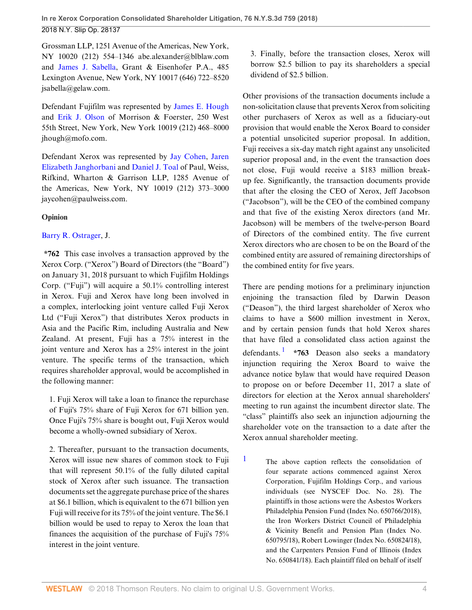Grossman LLP, 1251 Avenue of the Americas, New York, NY 10020 (212) 554–1346 abe.alexander@blblaw.com and [James J. Sabella](http://www.westlaw.com/Link/Document/FullText?findType=h&pubNum=176284&cite=0135971201&originatingDoc=Ib9acdcd04f0311e8ab5389d3771bc525&refType=RQ&originationContext=document&vr=3.0&rs=cblt1.0&transitionType=DocumentItem&contextData=(sc.Search)), Grant & Eisenhofer P.A., 485 Lexington Avenue, New York, NY 10017 (646) 722–8520 jsabella@gelaw.com.

Defendant Fujifilm was represented by [James E. Hough](http://www.westlaw.com/Link/Document/FullText?findType=h&pubNum=176284&cite=0148060801&originatingDoc=Ib9acdcd04f0311e8ab5389d3771bc525&refType=RQ&originationContext=document&vr=3.0&rs=cblt1.0&transitionType=DocumentItem&contextData=(sc.Search)) and [Erik J. Olson](http://www.westlaw.com/Link/Document/FullText?findType=h&pubNum=176284&cite=0270229301&originatingDoc=Ib9acdcd04f0311e8ab5389d3771bc525&refType=RQ&originationContext=document&vr=3.0&rs=cblt1.0&transitionType=DocumentItem&contextData=(sc.Search)) of Morrison & Foerster, 250 West 55th Street, New York, New York 10019 (212) 468–8000 jhough@mofo.com.

Defendant Xerox was represented by [Jay Cohen](http://www.westlaw.com/Link/Document/FullText?findType=h&pubNum=176284&cite=0151955501&originatingDoc=Ib9acdcd04f0311e8ab5389d3771bc525&refType=RQ&originationContext=document&vr=3.0&rs=cblt1.0&transitionType=DocumentItem&contextData=(sc.Search)), [Jaren](http://www.westlaw.com/Link/Document/FullText?findType=h&pubNum=176284&cite=0413892901&originatingDoc=Ib9acdcd04f0311e8ab5389d3771bc525&refType=RQ&originationContext=document&vr=3.0&rs=cblt1.0&transitionType=DocumentItem&contextData=(sc.Search)) [Elizabeth Janghorbani](http://www.westlaw.com/Link/Document/FullText?findType=h&pubNum=176284&cite=0413892901&originatingDoc=Ib9acdcd04f0311e8ab5389d3771bc525&refType=RQ&originationContext=document&vr=3.0&rs=cblt1.0&transitionType=DocumentItem&contextData=(sc.Search)) and [Daniel J. Toal](http://www.westlaw.com/Link/Document/FullText?findType=h&pubNum=176284&cite=0195643601&originatingDoc=Ib9acdcd04f0311e8ab5389d3771bc525&refType=RQ&originationContext=document&vr=3.0&rs=cblt1.0&transitionType=DocumentItem&contextData=(sc.Search)) of Paul, Weiss, Rifkind, Wharton & Garrison LLP, 1285 Avenue of the Americas, New York, NY 10019 (212) 373–3000 jaycohen@paulweiss.com.

#### **Opinion**

## [Barry R. Ostrager,](http://www.westlaw.com/Link/Document/FullText?findType=h&pubNum=176284&cite=0190674599&originatingDoc=Ib9acdcd04f0311e8ab5389d3771bc525&refType=RQ&originationContext=document&vr=3.0&rs=cblt1.0&transitionType=DocumentItem&contextData=(sc.Search)) J.

**\*762** This case involves a transaction approved by the Xerox Corp. ("Xerox") Board of Directors (the "Board") on January 31, 2018 pursuant to which Fujifilm Holdings Corp. ("Fuji") will acquire a 50.1% controlling interest in Xerox. Fuji and Xerox have long been involved in a complex, interlocking joint venture called Fuji Xerox Ltd ("Fuji Xerox") that distributes Xerox products in Asia and the Pacific Rim, including Australia and New Zealand. At present, Fuji has a 75% interest in the joint venture and Xerox has a 25% interest in the joint venture. The specific terms of the transaction, which requires shareholder approval, would be accomplished in the following manner:

1. Fuji Xerox will take a loan to finance the repurchase of Fuji's 75% share of Fuji Xerox for 671 billion yen. Once Fuji's 75% share is bought out, Fuji Xerox would become a wholly-owned subsidiary of Xerox.

2. Thereafter, pursuant to the transaction documents, Xerox will issue new shares of common stock to Fuji that will represent 50.1% of the fully diluted capital stock of Xerox after such issuance. The transaction documents set the aggregate purchase price of the shares at \$6.1 billion, which is equivalent to the 671 billion yen Fuji will receive for its 75% of the joint venture. The \$6.1 billion would be used to repay to Xerox the loan that finances the acquisition of the purchase of Fuji's 75% interest in the joint venture.

3. Finally, before the transaction closes, Xerox will borrow \$2.5 billion to pay its shareholders a special dividend of \$2.5 billion.

Other provisions of the transaction documents include a non-solicitation clause that prevents Xerox from soliciting other purchasers of Xerox as well as a fiduciary-out provision that would enable the Xerox Board to consider a potential unsolicited superior proposal. In addition, Fuji receives a six-day match right against any unsolicited superior proposal and, in the event the transaction does not close, Fuji would receive a \$183 million breakup fee. Significantly, the transaction documents provide that after the closing the CEO of Xerox, Jeff Jacobson ("Jacobson"), will be the CEO of the combined company and that five of the existing Xerox directors (and Mr. Jacobson) will be members of the twelve-person Board of Directors of the combined entity. The five current Xerox directors who are chosen to be on the Board of the combined entity are assured of remaining directorships of the combined entity for five years.

<span id="page-3-1"></span>There are pending motions for a preliminary injunction enjoining the transaction filed by Darwin Deason ("Deason"), the third largest shareholder of Xerox who claims to have a \$600 million investment in Xerox, and by certain pension funds that hold Xerox shares that have filed a consolidated class action against the defendants. [1](#page-3-0) **\*763** Deason also seeks a mandatory injunction requiring the Xerox Board to waive the advance notice bylaw that would have required Deason to propose on or before December 11, 2017 a slate of directors for election at the Xerox annual shareholders' meeting to run against the incumbent director slate. The "class" plaintiffs also seek an injunction adjourning the shareholder vote on the transaction to a date after the Xerox annual shareholder meeting.

<span id="page-3-0"></span>[1](#page-3-1) The above caption reflects the consolidation of four separate actions commenced against Xerox Corporation, Fujifilm Holdings Corp., and various individuals (see NYSCEF Doc. No. 28). The plaintiffs in those actions were the Asbestos Workers Philadelphia Pension Fund (Index No. 650766/2018), the Iron Workers District Council of Philadelphia & Vicinity Benefit and Pension Plan (Index No. 650795/18), Robert Lowinger (Index No. 650824/18), and the Carpenters Pension Fund of Illinois (Index No. 650841/18). Each plaintiff filed on behalf of itself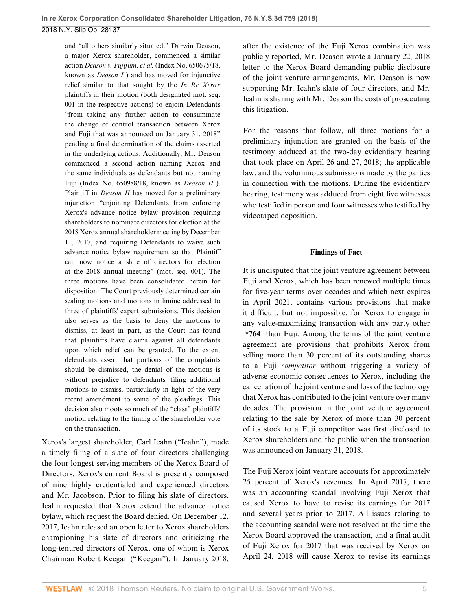and "all others similarly situated." Darwin Deason, a major Xerox shareholder, commenced a similar action *Deason v. Fujifilm, et al.* (Index No. 650675/18, known as *Deason I* ) and has moved for injunctive relief similar to that sought by the *In Re Xerox* plaintiffs in their motion (both designated mot. seq. 001 in the respective actions) to enjoin Defendants "from taking any further action to consummate the change of control transaction between Xerox and Fuji that was announced on January 31, 2018" pending a final determination of the claims asserted in the underlying actions. Additionally, Mr. Deason commenced a second action naming Xerox and the same individuals as defendants but not naming Fuji (Index No. 650988/18, known as *Deason II* ). Plaintiff in *Deason II* has moved for a preliminary injunction "enjoining Defendants from enforcing Xerox's advance notice bylaw provision requiring shareholders to nominate directors for election at the 2018 Xerox annual shareholder meeting by December 11, 2017, and requiring Defendants to waive such advance notice bylaw requirement so that Plaintiff can now notice a slate of directors for election at the 2018 annual meeting" (mot. seq. 001). The three motions have been consolidated herein for disposition. The Court previously determined certain sealing motions and motions in limine addressed to three of plaintiffs' expert submissions. This decision also serves as the basis to deny the motions to dismiss, at least in part, as the Court has found that plaintiffs have claims against all defendants upon which relief can be granted. To the extent defendants assert that portions of the complaints should be dismissed, the denial of the motions is without prejudice to defendants' filing additional motions to dismiss, particularly in light of the very recent amendment to some of the pleadings. This decision also moots so much of the "class" plaintiffs' motion relating to the timing of the shareholder vote on the transaction.

Xerox's largest shareholder, Carl Icahn ("Icahn"), made a timely filing of a slate of four directors challenging the four longest serving members of the Xerox Board of Directors. Xerox's current Board is presently composed of nine highly credentialed and experienced directors and Mr. Jacobson. Prior to filing his slate of directors, Icahn requested that Xerox extend the advance notice bylaw, which request the Board denied. On December 12, 2017, Icahn released an open letter to Xerox shareholders championing his slate of directors and criticizing the long-tenured directors of Xerox, one of whom is Xerox Chairman Robert Keegan ("Keegan"). In January 2018, after the existence of the Fuji Xerox combination was publicly reported, Mr. Deason wrote a January 22, 2018 letter to the Xerox Board demanding public disclosure of the joint venture arrangements. Mr. Deason is now supporting Mr. Icahn's slate of four directors, and Mr. Icahn is sharing with Mr. Deason the costs of prosecuting this litigation.

For the reasons that follow, all three motions for a preliminary injunction are granted on the basis of the testimony adduced at the two-day evidentiary hearing that took place on April 26 and 27, 2018; the applicable law; and the voluminous submissions made by the parties in connection with the motions. During the evidentiary hearing, testimony was adduced from eight live witnesses who testified in person and four witnesses who testified by videotaped deposition.

#### **Findings of Fact**

It is undisputed that the joint venture agreement between Fuji and Xerox, which has been renewed multiple times for five-year terms over decades and which next expires in April 2021, contains various provisions that make it difficult, but not impossible, for Xerox to engage in any value-maximizing transaction with any party other **\*764** than Fuji. Among the terms of the joint venture agreement are provisions that prohibits Xerox from selling more than 30 percent of its outstanding shares to a Fuji *competitor* without triggering a variety of adverse economic consequences to Xerox, including the cancellation of the joint venture and loss of the technology that Xerox has contributed to the joint venture over many decades. The provision in the joint venture agreement relating to the sale by Xerox of more than 30 percent of its stock to a Fuji competitor was first disclosed to Xerox shareholders and the public when the transaction was announced on January 31, 2018.

The Fuji Xerox joint venture accounts for approximately 25 percent of Xerox's revenues. In April 2017, there was an accounting scandal involving Fuji Xerox that caused Xerox to have to revise its earnings for 2017 and several years prior to 2017. All issues relating to the accounting scandal were not resolved at the time the Xerox Board approved the transaction, and a final audit of Fuji Xerox for 2017 that was received by Xerox on April 24, 2018 will cause Xerox to revise its earnings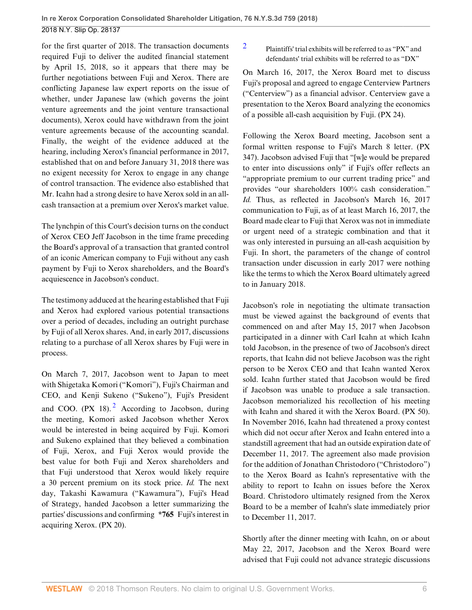for the first quarter of 2018. The transaction documents required Fuji to deliver the audited financial statement by April 15, 2018, so it appears that there may be further negotiations between Fuji and Xerox. There are conflicting Japanese law expert reports on the issue of whether, under Japanese law (which governs the joint venture agreements and the joint venture transactional documents), Xerox could have withdrawn from the joint venture agreements because of the accounting scandal. Finally, the weight of the evidence adduced at the hearing, including Xerox's financial performance in 2017, established that on and before January 31, 2018 there was no exigent necessity for Xerox to engage in any change of control transaction. The evidence also established that Mr. Icahn had a strong desire to have Xerox sold in an allcash transaction at a premium over Xerox's market value.

The lynchpin of this Court's decision turns on the conduct of Xerox CEO Jeff Jacobson in the time frame preceding the Board's approval of a transaction that granted control of an iconic American company to Fuji without any cash payment by Fuji to Xerox shareholders, and the Board's acquiescence in Jacobson's conduct.

The testimony adduced at the hearing established that Fuji and Xerox had explored various potential transactions over a period of decades, including an outright purchase by Fuji of all Xerox shares. And, in early 2017, discussions relating to a purchase of all Xerox shares by Fuji were in process.

<span id="page-5-1"></span>On March 7, 2017, Jacobson went to Japan to meet with Shigetaka Komori ("Komori"), Fuji's Chairman and CEO, and Kenji Sukeno ("Sukeno"), Fuji's President and COO.  $(PX \ 18)$ .  $^2$  $^2$  According to Jacobson, during the meeting, Komori asked Jacobson whether Xerox would be interested in being acquired by Fuji. Komori and Sukeno explained that they believed a combination of Fuji, Xerox, and Fuji Xerox would provide the best value for both Fuji and Xerox shareholders and that Fuji understood that Xerox would likely require a 30 percent premium on its stock price. *Id.* The next day, Takashi Kawamura ("Kawamura"), Fuji's Head of Strategy, handed Jacobson a letter summarizing the parties' discussions and confirming **\*765** Fuji's interest in acquiring Xerox. (PX 20).

<span id="page-5-0"></span>[2](#page-5-1) Plaintiffs' trial exhibits will be referred to as "PX" and defendants' trial exhibits will be referred to as "DX"

On March 16, 2017, the Xerox Board met to discuss Fuji's proposal and agreed to engage Centerview Partners ("Centerview") as a financial advisor. Centerview gave a presentation to the Xerox Board analyzing the economics of a possible all-cash acquisition by Fuji. (PX 24).

Following the Xerox Board meeting, Jacobson sent a formal written response to Fuji's March 8 letter. (PX 347). Jacobson advised Fuji that "[w]e would be prepared to enter into discussions only" if Fuji's offer reflects an "appropriate premium to our current trading price" and provides "our shareholders 100% cash consideration." *Id.* Thus, as reflected in Jacobson's March 16, 2017 communication to Fuji, as of at least March 16, 2017, the Board made clear to Fuji that Xerox was not in immediate or urgent need of a strategic combination and that it was only interested in pursuing an all-cash acquisition by Fuji. In short, the parameters of the change of control transaction under discussion in early 2017 were nothing like the terms to which the Xerox Board ultimately agreed to in January 2018.

Jacobson's role in negotiating the ultimate transaction must be viewed against the background of events that commenced on and after May 15, 2017 when Jacobson participated in a dinner with Carl Icahn at which Icahn told Jacobson, in the presence of two of Jacobson's direct reports, that Icahn did not believe Jacobson was the right person to be Xerox CEO and that Icahn wanted Xerox sold. Icahn further stated that Jacobson would be fired if Jacobson was unable to produce a sale transaction. Jacobson memorialized his recollection of his meeting with Icahn and shared it with the Xerox Board. (PX 50). In November 2016, Icahn had threatened a proxy contest which did not occur after Xerox and Icahn entered into a standstill agreement that had an outside expiration date of December 11, 2017. The agreement also made provision for the addition of Jonathan Christodoro ("Christodoro") to the Xerox Board as Icahn's representative with the ability to report to Icahn on issues before the Xerox Board. Christodoro ultimately resigned from the Xerox Board to be a member of Icahn's slate immediately prior to December 11, 2017.

Shortly after the dinner meeting with Icahn, on or about May 22, 2017, Jacobson and the Xerox Board were advised that Fuji could not advance strategic discussions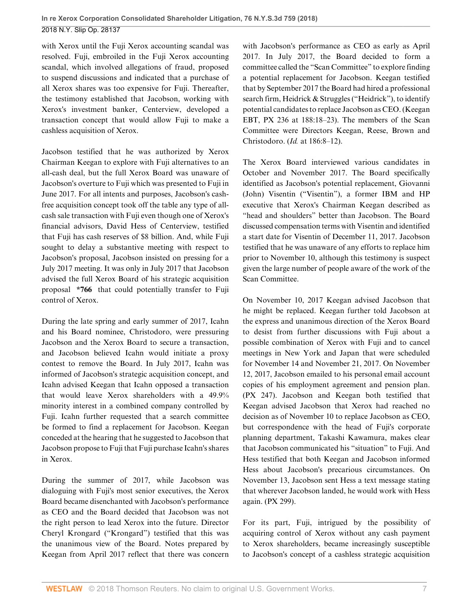with Xerox until the Fuji Xerox accounting scandal was resolved. Fuji, embroiled in the Fuji Xerox accounting scandal, which involved allegations of fraud, proposed to suspend discussions and indicated that a purchase of all Xerox shares was too expensive for Fuji. Thereafter, the testimony established that Jacobson, working with Xerox's investment banker, Centerview, developed a transaction concept that would allow Fuji to make a cashless acquisition of Xerox.

Jacobson testified that he was authorized by Xerox Chairman Keegan to explore with Fuji alternatives to an all-cash deal, but the full Xerox Board was unaware of Jacobson's overture to Fuji which was presented to Fuji in June 2017. For all intents and purposes, Jacobson's cashfree acquisition concept took off the table any type of allcash sale transaction with Fuji even though one of Xerox's financial advisors, David Hess of Centerview, testified that Fuji has cash reserves of \$8 billion. And, while Fuji sought to delay a substantive meeting with respect to Jacobson's proposal, Jacobson insisted on pressing for a July 2017 meeting. It was only in July 2017 that Jacobson advised the full Xerox Board of his strategic acquisition proposal **\*766** that could potentially transfer to Fuji control of Xerox.

During the late spring and early summer of 2017, Icahn and his Board nominee, Christodoro, were pressuring Jacobson and the Xerox Board to secure a transaction, and Jacobson believed Icahn would initiate a proxy contest to remove the Board. In July 2017, Icahn was informed of Jacobson's strategic acquisition concept, and Icahn advised Keegan that Icahn opposed a transaction that would leave Xerox shareholders with a 49.9% minority interest in a combined company controlled by Fuji. Icahn further requested that a search committee be formed to find a replacement for Jacobson. Keegan conceded at the hearing that he suggested to Jacobson that Jacobson propose to Fuji that Fuji purchase Icahn's shares in Xerox.

During the summer of 2017, while Jacobson was dialoguing with Fuji's most senior executives, the Xerox Board became disenchanted with Jacobson's performance as CEO and the Board decided that Jacobson was not the right person to lead Xerox into the future. Director Cheryl Krongard ("Krongard") testified that this was the unanimous view of the Board. Notes prepared by Keegan from April 2017 reflect that there was concern with Jacobson's performance as CEO as early as April 2017. In July 2017, the Board decided to form a committee called the "Scan Committee" to explore finding a potential replacement for Jacobson. Keegan testified that by September 2017 the Board had hired a professional search firm, Heidrick & Struggles ("Heidrick"), to identify potential candidates to replace Jacobson as CEO. (Keegan EBT, PX 236 at 188:18–23). The members of the Scan Committee were Directors Keegan, Reese, Brown and Christodoro. (*Id.* at 186:8–12).

The Xerox Board interviewed various candidates in October and November 2017. The Board specifically identified as Jacobson's potential replacement, Giovanni (John) Visentin ("Visentin"), a former IBM and HP executive that Xerox's Chairman Keegan described as "head and shoulders" better than Jacobson. The Board discussed compensation terms with Visentin and identified a start date for Visentin of December 11, 2017. Jacobson testified that he was unaware of any efforts to replace him prior to November 10, although this testimony is suspect given the large number of people aware of the work of the Scan Committee.

On November 10, 2017 Keegan advised Jacobson that he might be replaced. Keegan further told Jacobson at the express and unanimous direction of the Xerox Board to desist from further discussions with Fuji about a possible combination of Xerox with Fuji and to cancel meetings in New York and Japan that were scheduled for November 14 and November 21, 2017. On November 12, 2017, Jacobson emailed to his personal email account copies of his employment agreement and pension plan. (PX 247). Jacobson and Keegan both testified that Keegan advised Jacobson that Xerox had reached no decision as of November 10 to replace Jacobson as CEO, but correspondence with the head of Fuji's corporate planning department, Takashi Kawamura, makes clear that Jacobson communicated his "situation" to Fuji. And Hess testified that both Keegan and Jacobson informed Hess about Jacobson's precarious circumstances. On November 13, Jacobson sent Hess a text message stating that wherever Jacobson landed, he would work with Hess again. (PX 299).

For its part, Fuji, intrigued by the possibility of acquiring control of Xerox without any cash payment to Xerox shareholders, became increasingly susceptible to Jacobson's concept of a cashless strategic acquisition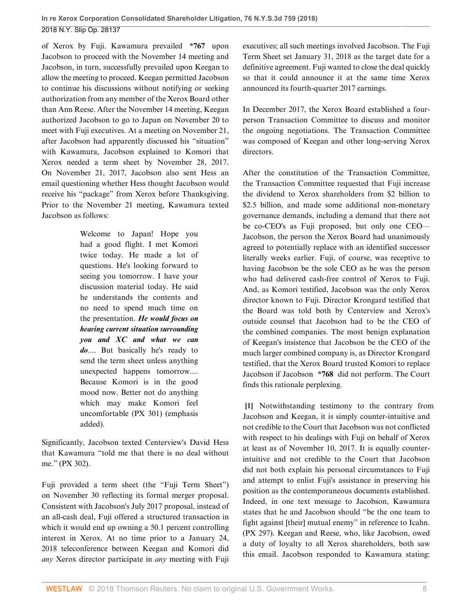of Xerox by Fuji. Kawamura prevailed **\*767** upon Jacobson to proceed with the November 14 meeting and Jacobson, in turn, successfully prevailed upon Keegan to allow the meeting to proceed. Keegan permitted Jacobson to continue his discussions without notifying or seeking authorization from any member of the Xerox Board other than Ann Reese. After the November 14 meeting, Keegan authorized Jacobson to go to Japan on November 20 to meet with Fuji executives. At a meeting on November 21, after Jacobson had apparently discussed his "situation" with Kawamura, Jacobson explained to Komori that Xerox needed a term sheet by November 28, 2017. On November 21, 2017, Jacobson also sent Hess an email questioning whether Hess thought Jacobson would receive his "package" from Xerox before Thanksgiving. Prior to the November 21 meeting, Kawamura texted Jacobson as follows:

> Welcome to Japan! Hope you had a good flight. I met Komori twice today. He made a lot of questions. He's looking forward to seeing you tomorrow. I have your discussion material today. He said he understands the contents and no need to spend much time on the presentation. *He would focus on hearing current situation surrounding you and XC and what we can do*.... But basically he's ready to send the term sheet unless anything unexpected happens tomorrow.... Because Komori is in the good mood now. Better not do anything which may make Komori feel uncomfortable (PX 301) (emphasis added).

Significantly, Jacobson texted Centerview's David Hess that Kawamura "told me that there is no deal without me." (PX 302).

Fuji provided a term sheet (the "Fuji Term Sheet") on November 30 reflecting its formal merger proposal. Consistent with Jacobson's July 2017 proposal, instead of an all-cash deal, Fuji offered a structured transaction in which it would end up owning a 50.1 percent controlling interest in Xerox. At no time prior to a January 24, 2018 teleconference between Keegan and Komori did *any* Xerox director participate in *any* meeting with Fuji

executives; all such meetings involved Jacobson. The Fuji Term Sheet set January 31, 2018 as the target date for a definitive agreement. Fuji wanted to close the deal quickly so that it could announce it at the same time Xerox announced its fourth-quarter 2017 earnings.

In December 2017, the Xerox Board established a fourperson Transaction Committee to discuss and monitor the ongoing negotiations. The Transaction Committee was composed of Keegan and other long-serving Xerox directors.

After the constitution of the Transaction Committee, the Transaction Committee requested that Fuji increase the dividend to Xerox shareholders from \$2 billion to \$2.5 billion, and made some additional non-monetary governance demands, including a demand that there not be co-CEO's as Fuji proposed, but only one CEO— Jacobson, the person the Xerox Board had unanimously agreed to potentially replace with an identified successor literally weeks earlier. Fuji, of course, was receptive to having Jacobson be the sole CEO as he was the person who had delivered cash-free control of Xerox to Fuji. And, as Komori testified, Jacobson was the only Xerox director known to Fuji. Director Krongard testified that the Board was told both by Centerview and Xerox's outside counsel that Jacobson had to be the CEO of the combined companies. The most benign explanation of Keegan's insistence that Jacobson be the CEO of the much larger combined company is, as Director Krongard testified, that the Xerox Board trusted Komori to replace Jacobson if Jacobson **\*768** did not perform. The Court finds this rationale perplexing.

<span id="page-7-0"></span>**[\[1](#page-0-1)]** Notwithstanding testimony to the contrary from Jacobson and Keegan, it is simply counter-intuitive and not credible to the Court that Jacobson was not conflicted with respect to his dealings with Fuji on behalf of Xerox at least as of November 10, 2017. It is equally counterintuitive and not credible to the Court that Jacobson did not both explain his personal circumstances to Fuji and attempt to enlist Fuji's assistance in preserving his position as the contemporaneous documents established. Indeed, in one text message to Jacobson, Kawamura states that he and Jacobson should "be the one team to fight against [their] mutual enemy" in reference to Icahn. (PX 297). Keegan and Reese, who, like Jacobson, owed a duty of loyalty to all Xerox shareholders, both saw this email. Jacobson responded to Kawamura stating: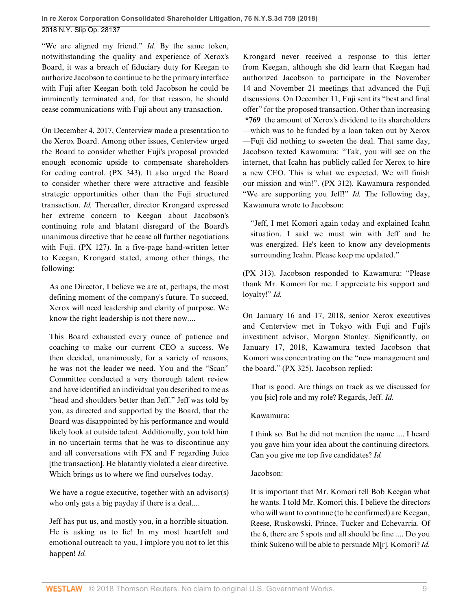"We are aligned my friend." *Id.* By the same token, notwithstanding the quality and experience of Xerox's Board, it was a breach of fiduciary duty for Keegan to authorize Jacobson to continue to be the primary interface with Fuji after Keegan both told Jacobson he could be imminently terminated and, for that reason, he should cease communications with Fuji about any transaction.

On December 4, 2017, Centerview made a presentation to the Xerox Board. Among other issues, Centerview urged the Board to consider whether Fuji's proposal provided enough economic upside to compensate shareholders for ceding control. (PX 343). It also urged the Board to consider whether there were attractive and feasible strategic opportunities other than the Fuji structured transaction. *Id.* Thereafter, director Krongard expressed her extreme concern to Keegan about Jacobson's continuing role and blatant disregard of the Board's unanimous directive that he cease all further negotiations with Fuji. (PX 127). In a five-page hand-written letter to Keegan, Krongard stated, among other things, the following:

As one Director, I believe we are at, perhaps, the most defining moment of the company's future. To succeed, Xerox will need leadership and clarity of purpose. We know the right leadership is not there now....

This Board exhausted every ounce of patience and coaching to make our current CEO a success. We then decided, unanimously, for a variety of reasons, he was not the leader we need. You and the "Scan" Committee conducted a very thorough talent review and have identified an individual you described to me as "head and shoulders better than Jeff." Jeff was told by you, as directed and supported by the Board, that the Board was disappointed by his performance and would likely look at outside talent. Additionally, you told him in no uncertain terms that he was to discontinue any and all conversations with FX and F regarding Juice [the transaction]. He blatantly violated a clear directive. Which brings us to where we find ourselves today.

We have a rogue executive, together with an advisor(s) who only gets a big payday if there is a deal....

Jeff has put us, and mostly you, in a horrible situation. He is asking us to lie! In my most heartfelt and emotional outreach to you, I implore you not to let this happen! *Id.*

Krongard never received a response to this letter from Keegan, although she did learn that Keegan had authorized Jacobson to participate in the November 14 and November 21 meetings that advanced the Fuji discussions. On December 11, Fuji sent its "best and final offer" for the proposed transaction. Other than increasing **\*769** the amount of Xerox's dividend to its shareholders —which was to be funded by a loan taken out by Xerox —Fuji did nothing to sweeten the deal. That same day, Jacobson texted Kawamura: "Tak, you will see on the internet, that Icahn has publicly called for Xerox to hire a new CEO. This is what we expected. We will finish our mission and win!". (PX 312). Kawamura responded "We are supporting you Jeff!" *Id.* The following day, Kawamura wrote to Jacobson:

"Jeff, I met Komori again today and explained Icahn situation. I said we must win with Jeff and he was energized. He's keen to know any developments surrounding Icahn. Please keep me updated."

(PX 313). Jacobson responded to Kawamura: "Please thank Mr. Komori for me. I appreciate his support and loyalty!" *Id.*

On January 16 and 17, 2018, senior Xerox executives and Centerview met in Tokyo with Fuji and Fuji's investment advisor, Morgan Stanley. Significantly, on January 17, 2018, Kawamura texted Jacobson that Komori was concentrating on the "new management and the board." (PX 325). Jacobson replied:

That is good. Are things on track as we discussed for you [sic] role and my role? Regards, Jeff. *Id.*

## Kawamura:

I think so. But he did not mention the name .... I heard you gave him your idea about the continuing directors. Can you give me top five candidates? *Id.*

## Jacobson:

It is important that Mr. Komori tell Bob Keegan what he wants. I told Mr. Komori this. I believe the directors who will want to continue (to be confirmed) are Keegan, Reese, Ruskowski, Prince, Tucker and Echevarria. Of the 6, there are 5 spots and all should be fine .... Do you think Sukeno will be able to persuade M[r]. Komori? *Id.*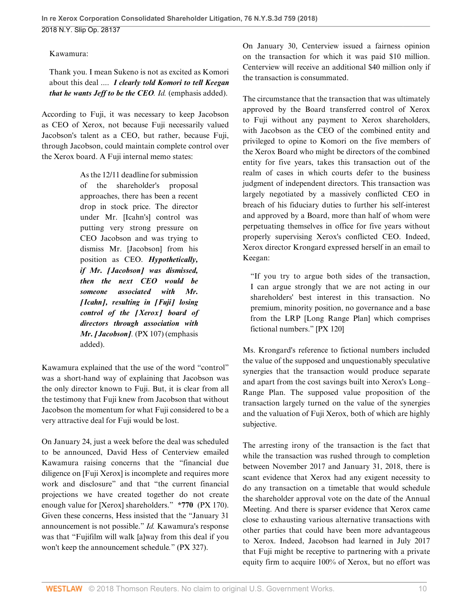## Kawamura:

Thank you. I mean Sukeno is not as excited as Komori about this deal .... *I clearly told Komori to tell Keegan that he wants Jeff to be the CEO. Id.* (emphasis added).

According to Fuji, it was necessary to keep Jacobson as CEO of Xerox, not because Fuji necessarily valued Jacobson's talent as a CEO, but rather, because Fuji, through Jacobson, could maintain complete control over the Xerox board. A Fuji internal memo states:

> As the 12/11 deadline for submission of the shareholder's proposal approaches, there has been a recent drop in stock price. The director under Mr. [Icahn's] control was putting very strong pressure on CEO Jacobson and was trying to dismiss Mr. [Jacobson] from his position as CEO. *Hypothetically, if Mr. [Jacobson] was dismissed, then the next CEO would be someone associated with Mr. [Icahn], resulting in [Fuji] losing control of the [Xerox] board of directors through association with Mr. [Jacobson].* (PX 107) (emphasis added).

Kawamura explained that the use of the word "control" was a short-hand way of explaining that Jacobson was the only director known to Fuji. But, it is clear from all the testimony that Fuji knew from Jacobson that without Jacobson the momentum for what Fuji considered to be a very attractive deal for Fuji would be lost.

On January 24, just a week before the deal was scheduled to be announced, David Hess of Centerview emailed Kawamura raising concerns that the "financial due diligence on [Fuji Xerox] is incomplete and requires more work and disclosure" and that "the current financial projections we have created together do not create enough value for [Xerox] shareholders." **\*770** (PX 170). Given these concerns, Hess insisted that the "January 31 announcement is not possible." *Id.* Kawamura's response was that "Fujifilm will walk [a]way from this deal if you won't keep the announcement schedule*.*" (PX 327).

On January 30, Centerview issued a fairness opinion on the transaction for which it was paid \$10 million. Centerview will receive an additional \$40 million only if the transaction is consummated.

The circumstance that the transaction that was ultimately approved by the Board transferred control of Xerox to Fuji without any payment to Xerox shareholders, with Jacobson as the CEO of the combined entity and privileged to opine to Komori on the five members of the Xerox Board who might be directors of the combined entity for five years, takes this transaction out of the realm of cases in which courts defer to the business judgment of independent directors. This transaction was largely negotiated by a massively conflicted CEO in breach of his fiduciary duties to further his self-interest and approved by a Board, more than half of whom were perpetuating themselves in office for five years without properly supervising Xerox's conflicted CEO. Indeed, Xerox director Krongard expressed herself in an email to Keegan:

"If you try to argue both sides of the transaction, I can argue strongly that we are not acting in our shareholders' best interest in this transaction. No premium, minority position, no governance and a base from the LRP [Long Range Plan] which comprises fictional numbers." [PX 120]

Ms. Krongard's reference to fictional numbers included the value of the supposed and unquestionably speculative synergies that the transaction would produce separate and apart from the cost savings built into Xerox's Long– Range Plan. The supposed value proposition of the transaction largely turned on the value of the synergies and the valuation of Fuji Xerox, both of which are highly subjective.

The arresting irony of the transaction is the fact that while the transaction was rushed through to completion between November 2017 and January 31, 2018, there is scant evidence that Xerox had any exigent necessity to do any transaction on a timetable that would schedule the shareholder approval vote on the date of the Annual Meeting. And there is sparser evidence that Xerox came close to exhausting various alternative transactions with other parties that could have been more advantageous to Xerox. Indeed, Jacobson had learned in July 2017 that Fuji might be receptive to partnering with a private equity firm to acquire 100% of Xerox, but no effort was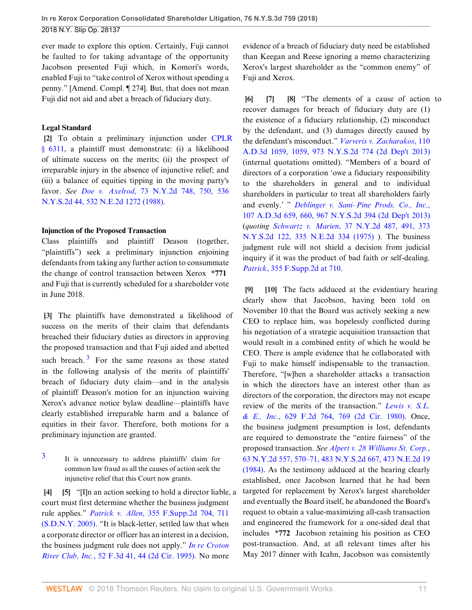ever made to explore this option. Certainly, Fuji cannot be faulted to for taking advantage of the opportunity Jacobson presented Fuji which, in Komori's words, enabled Fuji to "take control of Xerox without spending a penny." [Amend. Compl. ¶ 274]. But, that does not mean Fuji did not aid and abet a breach of fiduciary duty.

### **Legal Standard**

<span id="page-10-0"></span>**[\[2](#page-0-2)]** To obtain a preliminary injunction under [CPLR](http://www.westlaw.com/Link/Document/FullText?findType=L&pubNum=1000059&cite=NYCPS6311&originatingDoc=Ib9acdcd04f0311e8ab5389d3771bc525&refType=LQ&originationContext=document&vr=3.0&rs=cblt1.0&transitionType=DocumentItem&contextData=(sc.Search)) [§ 6311](http://www.westlaw.com/Link/Document/FullText?findType=L&pubNum=1000059&cite=NYCPS6311&originatingDoc=Ib9acdcd04f0311e8ab5389d3771bc525&refType=LQ&originationContext=document&vr=3.0&rs=cblt1.0&transitionType=DocumentItem&contextData=(sc.Search)), a plaintiff must demonstrate: (i) a likelihood of ultimate success on the merits; (ii) the prospect of irreparable injury in the absence of injunctive relief; and (iii) a balance of equities tipping in the moving party's favor. *See Doe v. Axelrod*[, 73 N.Y.2d 748, 750, 536](http://www.westlaw.com/Link/Document/FullText?findType=Y&serNum=1988150852&pubNum=0000578&originatingDoc=Ib9acdcd04f0311e8ab5389d3771bc525&refType=RP&originationContext=document&vr=3.0&rs=cblt1.0&transitionType=DocumentItem&contextData=(sc.Search)) [N.Y.S.2d 44, 532 N.E.2d 1272 \(1988\).](http://www.westlaw.com/Link/Document/FullText?findType=Y&serNum=1988150852&pubNum=0000578&originatingDoc=Ib9acdcd04f0311e8ab5389d3771bc525&refType=RP&originationContext=document&vr=3.0&rs=cblt1.0&transitionType=DocumentItem&contextData=(sc.Search))

#### **Injunction of the Proposed Transaction**

Class plaintiffs and plaintiff Deason (together, "plaintiffs") seek a preliminary injunction enjoining defendants from taking any further action to consummate the change of control transaction between Xerox **\*771** and Fuji that is currently scheduled for a shareholder vote in June 2018.

<span id="page-10-10"></span><span id="page-10-1"></span>**[\[3](#page-0-0)]** The plaintiffs have demonstrated a likelihood of success on the merits of their claim that defendants breached their fiduciary duties as directors in approving the proposed transaction and that Fuji aided and abetted such breach. $3$  For the same reasons as those stated in the following analysis of the merits of plaintiffs' breach of fiduciary duty claim—and in the analysis of plaintiff Deason's motion for an injunction waiving Xerox's advance notice bylaw deadline—plaintiffs have clearly established irreparable harm and a balance of equities in their favor. Therefore, both motions for a preliminary injunction are granted.

<span id="page-10-9"></span>[3](#page-10-10) It is unnecessary to address plaintiffs' claim for common law fraud as all the causes of action seek the injunctive relief that this Court now grants.

<span id="page-10-3"></span><span id="page-10-2"></span>**[\[4](#page-1-0)] [\[5](#page-1-1)]** "[I]n an action seeking to hold a director liable, a court must first determine whether the business judgment rule applies." *Patrick v. Allen*[, 355 F.Supp.2d 704, 711](http://www.westlaw.com/Link/Document/FullText?findType=Y&serNum=2005997086&pubNum=0004637&originatingDoc=Ib9acdcd04f0311e8ab5389d3771bc525&refType=RP&fi=co_pp_sp_4637_711&originationContext=document&vr=3.0&rs=cblt1.0&transitionType=DocumentItem&contextData=(sc.Search)#co_pp_sp_4637_711) [\(S.D.N.Y. 2005\).](http://www.westlaw.com/Link/Document/FullText?findType=Y&serNum=2005997086&pubNum=0004637&originatingDoc=Ib9acdcd04f0311e8ab5389d3771bc525&refType=RP&fi=co_pp_sp_4637_711&originationContext=document&vr=3.0&rs=cblt1.0&transitionType=DocumentItem&contextData=(sc.Search)#co_pp_sp_4637_711) "It is black-letter, settled law that when a corporate director or officer has an interest in a decision, the business judgment rule does not apply." *[In re Croton](http://www.westlaw.com/Link/Document/FullText?findType=Y&serNum=1995090992&pubNum=0000506&originatingDoc=Ib9acdcd04f0311e8ab5389d3771bc525&refType=RP&fi=co_pp_sp_506_44&originationContext=document&vr=3.0&rs=cblt1.0&transitionType=DocumentItem&contextData=(sc.Search)#co_pp_sp_506_44) River Club, Inc.*[, 52 F.3d 41, 44 \(2d Cir. 1995\)](http://www.westlaw.com/Link/Document/FullText?findType=Y&serNum=1995090992&pubNum=0000506&originatingDoc=Ib9acdcd04f0311e8ab5389d3771bc525&refType=RP&fi=co_pp_sp_506_44&originationContext=document&vr=3.0&rs=cblt1.0&transitionType=DocumentItem&contextData=(sc.Search)#co_pp_sp_506_44). No more

evidence of a breach of fiduciary duty need be established than Keegan and Reese ignoring a memo characterizing Xerox's largest shareholder as the "common enemy" of Fuji and Xerox.

<span id="page-10-6"></span><span id="page-10-5"></span><span id="page-10-4"></span>**[\[6](#page-1-2)] [\[7](#page-1-3)] [\[8](#page-1-4)]** "The elements of a cause of action to recover damages for breach of fiduciary duty are (1) the existence of a fiduciary relationship, (2) misconduct by the defendant, and (3) damages directly caused by the defendant's misconduct." *[Varveris v. Zacharakos](http://www.westlaw.com/Link/Document/FullText?findType=Y&serNum=2031873990&pubNum=0000602&originatingDoc=Ib9acdcd04f0311e8ab5389d3771bc525&refType=RP&originationContext=document&vr=3.0&rs=cblt1.0&transitionType=DocumentItem&contextData=(sc.Search))*, 110 [A.D.3d 1059, 1059, 973 N.Y.S.2d 774 \(2d Dep't 2013\)](http://www.westlaw.com/Link/Document/FullText?findType=Y&serNum=2031873990&pubNum=0000602&originatingDoc=Ib9acdcd04f0311e8ab5389d3771bc525&refType=RP&originationContext=document&vr=3.0&rs=cblt1.0&transitionType=DocumentItem&contextData=(sc.Search)) (internal quotations omitted). "Members of a board of directors of a corporation 'owe a fiduciary responsibility to the shareholders in general and to individual shareholders in particular to treat all shareholders fairly and evenly.' " *[Deblinger v. Sani–Pine Prods. Co., Inc.](http://www.westlaw.com/Link/Document/FullText?findType=Y&serNum=2030667808&pubNum=0000602&originatingDoc=Ib9acdcd04f0311e8ab5389d3771bc525&refType=RP&fi=co_pp_sp_602_660&originationContext=document&vr=3.0&rs=cblt1.0&transitionType=DocumentItem&contextData=(sc.Search)#co_pp_sp_602_660)*, [107 A.D.3d 659, 660, 967 N.Y.S.2d 394 \(2d Dep't 2013\)](http://www.westlaw.com/Link/Document/FullText?findType=Y&serNum=2030667808&pubNum=0000602&originatingDoc=Ib9acdcd04f0311e8ab5389d3771bc525&refType=RP&fi=co_pp_sp_602_660&originationContext=document&vr=3.0&rs=cblt1.0&transitionType=DocumentItem&contextData=(sc.Search)#co_pp_sp_602_660) (*quoting Schwartz v. Marien*[, 37 N.Y.2d 487, 491, 373](http://www.westlaw.com/Link/Document/FullText?findType=Y&serNum=1975122872&pubNum=0000578&originatingDoc=Ib9acdcd04f0311e8ab5389d3771bc525&refType=RP&originationContext=document&vr=3.0&rs=cblt1.0&transitionType=DocumentItem&contextData=(sc.Search)) [N.Y.S.2d 122, 335 N.E.2d 334 \(1975\)](http://www.westlaw.com/Link/Document/FullText?findType=Y&serNum=1975122872&pubNum=0000578&originatingDoc=Ib9acdcd04f0311e8ab5389d3771bc525&refType=RP&originationContext=document&vr=3.0&rs=cblt1.0&transitionType=DocumentItem&contextData=(sc.Search)) ). The business judgment rule will not shield a decision from judicial inquiry if it was the product of bad faith or self-dealing. *Patrick*[, 355 F.Supp.2d at 710.](http://www.westlaw.com/Link/Document/FullText?findType=Y&serNum=2005997086&pubNum=0004637&originatingDoc=Ib9acdcd04f0311e8ab5389d3771bc525&refType=RP&fi=co_pp_sp_4637_710&originationContext=document&vr=3.0&rs=cblt1.0&transitionType=DocumentItem&contextData=(sc.Search)#co_pp_sp_4637_710)

<span id="page-10-8"></span><span id="page-10-7"></span>**[\[9](#page-1-5)] [\[10](#page-1-6)]** The facts adduced at the evidentiary hearing clearly show that Jacobson, having been told on November 10 that the Board was actively seeking a new CEO to replace him, was hopelessly conflicted during his negotiation of a strategic acquisition transaction that would result in a combined entity of which he would be CEO. There is ample evidence that he collaborated with Fuji to make himself indispensable to the transaction. Therefore, "[w]hen a shareholder attacks a transaction in which the directors have an interest other than as directors of the corporation, the directors may not escape review of the merits of the transaction." *[Lewis v. S.L.](http://www.westlaw.com/Link/Document/FullText?findType=Y&serNum=1980133227&pubNum=0000350&originatingDoc=Ib9acdcd04f0311e8ab5389d3771bc525&refType=RP&fi=co_pp_sp_350_769&originationContext=document&vr=3.0&rs=cblt1.0&transitionType=DocumentItem&contextData=(sc.Search)#co_pp_sp_350_769) & E., Inc.*[, 629 F.2d 764, 769 \(2d Cir. 1980\).](http://www.westlaw.com/Link/Document/FullText?findType=Y&serNum=1980133227&pubNum=0000350&originatingDoc=Ib9acdcd04f0311e8ab5389d3771bc525&refType=RP&fi=co_pp_sp_350_769&originationContext=document&vr=3.0&rs=cblt1.0&transitionType=DocumentItem&contextData=(sc.Search)#co_pp_sp_350_769) Once, the business judgment presumption is lost, defendants are required to demonstrate the "entire fairness" of the proposed transaction. *See [Alpert v. 28 Williams St. Corp.](http://www.westlaw.com/Link/Document/FullText?findType=Y&serNum=1985102798&pubNum=0000578&originatingDoc=Ib9acdcd04f0311e8ab5389d3771bc525&refType=RP&originationContext=document&vr=3.0&rs=cblt1.0&transitionType=DocumentItem&contextData=(sc.Search))*, [63 N.Y.2d 557, 570–71, 483 N.Y.S.2d 667, 473 N.E.2d 19](http://www.westlaw.com/Link/Document/FullText?findType=Y&serNum=1985102798&pubNum=0000578&originatingDoc=Ib9acdcd04f0311e8ab5389d3771bc525&refType=RP&originationContext=document&vr=3.0&rs=cblt1.0&transitionType=DocumentItem&contextData=(sc.Search)) [\(1984\).](http://www.westlaw.com/Link/Document/FullText?findType=Y&serNum=1985102798&pubNum=0000578&originatingDoc=Ib9acdcd04f0311e8ab5389d3771bc525&refType=RP&originationContext=document&vr=3.0&rs=cblt1.0&transitionType=DocumentItem&contextData=(sc.Search)) As the testimony adduced at the hearing clearly established, once Jacobson learned that he had been targeted for replacement by Xerox's largest shareholder and eventually the Board itself, he abandoned the Board's request to obtain a value-maximizing all-cash transaction and engineered the framework for a one-sided deal that includes **\*772** Jacobson retaining his position as CEO post-transaction. And, at all relevant times after his May 2017 dinner with Icahn, Jacobson was consistently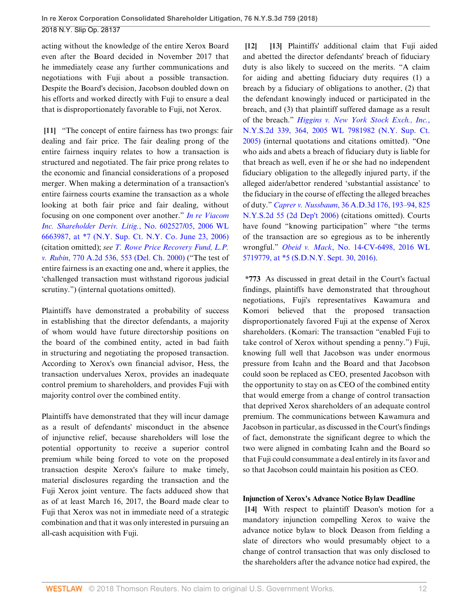acting without the knowledge of the entire Xerox Board even after the Board decided in November 2017 that he immediately cease any further communications and negotiations with Fuji about a possible transaction. Despite the Board's decision, Jacobson doubled down on his efforts and worked directly with Fuji to ensure a deal that is disproportionately favorable to Fuji, not Xerox.

<span id="page-11-0"></span>**[\[11](#page-1-7)]** "The concept of entire fairness has two prongs: fair dealing and fair price. The fair dealing prong of the entire fairness inquiry relates to how a transaction is structured and negotiated. The fair price prong relates to the economic and financial considerations of a proposed merger. When making a determination of a transaction's entire fairness courts examine the transaction as a whole looking at both fair price and fair dealing, without focusing on one component over another." *In re [Viacom](http://www.westlaw.com/Link/Document/FullText?findType=Y&serNum=2024443609&pubNum=0000999&originatingDoc=Ib9acdcd04f0311e8ab5389d3771bc525&refType=RP&originationContext=document&vr=3.0&rs=cblt1.0&transitionType=DocumentItem&contextData=(sc.Search)) [Inc. Shareholder Deriv. Litig.](http://www.westlaw.com/Link/Document/FullText?findType=Y&serNum=2024443609&pubNum=0000999&originatingDoc=Ib9acdcd04f0311e8ab5389d3771bc525&refType=RP&originationContext=document&vr=3.0&rs=cblt1.0&transitionType=DocumentItem&contextData=(sc.Search))*, No. 602527/05, 2006 WL [6663987, at \\*7 \(N.Y. Sup. Ct. N.Y. Co. June 23, 2006\)](http://www.westlaw.com/Link/Document/FullText?findType=Y&serNum=2024443609&pubNum=0000999&originatingDoc=Ib9acdcd04f0311e8ab5389d3771bc525&refType=RP&originationContext=document&vr=3.0&rs=cblt1.0&transitionType=DocumentItem&contextData=(sc.Search)) (citation omitted); *see [T. Rowe Price Recovery Fund, L.P.](http://www.westlaw.com/Link/Document/FullText?findType=Y&serNum=2001139355&pubNum=0000162&originatingDoc=Ib9acdcd04f0311e8ab5389d3771bc525&refType=RP&fi=co_pp_sp_162_553&originationContext=document&vr=3.0&rs=cblt1.0&transitionType=DocumentItem&contextData=(sc.Search)#co_pp_sp_162_553) v. Rubin*[, 770 A.2d 536, 553 \(Del. Ch. 2000\)](http://www.westlaw.com/Link/Document/FullText?findType=Y&serNum=2001139355&pubNum=0000162&originatingDoc=Ib9acdcd04f0311e8ab5389d3771bc525&refType=RP&fi=co_pp_sp_162_553&originationContext=document&vr=3.0&rs=cblt1.0&transitionType=DocumentItem&contextData=(sc.Search)#co_pp_sp_162_553) ("The test of entire fairness is an exacting one and, where it applies, the 'challenged transaction must withstand rigorous judicial scrutiny.") (internal quotations omitted).

Plaintiffs have demonstrated a probability of success in establishing that the director defendants, a majority of whom would have future directorship positions on the board of the combined entity, acted in bad faith in structuring and negotiating the proposed transaction. According to Xerox's own financial advisor, Hess, the transaction undervalues Xerox, provides an inadequate control premium to shareholders, and provides Fuji with majority control over the combined entity.

Plaintiffs have demonstrated that they will incur damage as a result of defendants' misconduct in the absence of injunctive relief, because shareholders will lose the potential opportunity to receive a superior control premium while being forced to vote on the proposed transaction despite Xerox's failure to make timely, material disclosures regarding the transaction and the Fuji Xerox joint venture. The facts adduced show that as of at least March 16, 2017, the Board made clear to Fuji that Xerox was not in immediate need of a strategic combination and that it was only interested in pursuing an all-cash acquisition with Fuji.

<span id="page-11-2"></span><span id="page-11-1"></span>**[\[12](#page-1-8)] [\[13](#page-2-2)]** Plaintiffs' additional claim that Fuji aided and abetted the director defendants' breach of fiduciary duty is also likely to succeed on the merits. "A claim for aiding and abetting fiduciary duty requires (1) a breach by a fiduciary of obligations to another, (2) that the defendant knowingly induced or participated in the breach, and (3) that plaintiff suffered damage as a result of the breach." *[Higgins v. New York Stock Exch., Inc.](http://www.westlaw.com/Link/Document/FullText?findType=Y&serNum=2037178919&pubNum=0000999&originatingDoc=Ib9acdcd04f0311e8ab5389d3771bc525&refType=RP&originationContext=document&vr=3.0&rs=cblt1.0&transitionType=DocumentItem&contextData=(sc.Search))*, [N.Y.S.2d 339, 364, 2005 WL 7981982 \(N.Y. Sup. Ct.](http://www.westlaw.com/Link/Document/FullText?findType=Y&serNum=2037178919&pubNum=0000999&originatingDoc=Ib9acdcd04f0311e8ab5389d3771bc525&refType=RP&originationContext=document&vr=3.0&rs=cblt1.0&transitionType=DocumentItem&contextData=(sc.Search)) [2005\)](http://www.westlaw.com/Link/Document/FullText?findType=Y&serNum=2037178919&pubNum=0000999&originatingDoc=Ib9acdcd04f0311e8ab5389d3771bc525&refType=RP&originationContext=document&vr=3.0&rs=cblt1.0&transitionType=DocumentItem&contextData=(sc.Search)) (internal quotations and citations omitted). "One who aids and abets a breach of fiduciary duty is liable for that breach as well, even if he or she had no independent fiduciary obligation to the allegedly injured party, if the alleged aider/abettor rendered 'substantial assistance' to the fiduciary in the course of effecting the alleged breaches of duty." *Caprer v. Nussbaum*[, 36 A.D.3d 176, 193–94, 825](http://www.westlaw.com/Link/Document/FullText?findType=Y&serNum=2010476508&pubNum=0000602&originatingDoc=Ib9acdcd04f0311e8ab5389d3771bc525&refType=RP&originationContext=document&vr=3.0&rs=cblt1.0&transitionType=DocumentItem&contextData=(sc.Search)) [N.Y.S.2d 55 \(2d Dep't 2006\)](http://www.westlaw.com/Link/Document/FullText?findType=Y&serNum=2010476508&pubNum=0000602&originatingDoc=Ib9acdcd04f0311e8ab5389d3771bc525&refType=RP&originationContext=document&vr=3.0&rs=cblt1.0&transitionType=DocumentItem&contextData=(sc.Search)) (citations omitted). Courts have found "knowing participation" where "the terms of the transaction are so egregious as to be inherently wrongful." *Obeid v. Mack*[, No. 14-CV-6498, 2016 WL](http://www.westlaw.com/Link/Document/FullText?findType=Y&serNum=2039905459&pubNum=0000999&originatingDoc=Ib9acdcd04f0311e8ab5389d3771bc525&refType=RP&originationContext=document&vr=3.0&rs=cblt1.0&transitionType=DocumentItem&contextData=(sc.Search)) [5719779, at \\*5 \(S.D.N.Y. Sept. 30, 2016\)](http://www.westlaw.com/Link/Document/FullText?findType=Y&serNum=2039905459&pubNum=0000999&originatingDoc=Ib9acdcd04f0311e8ab5389d3771bc525&refType=RP&originationContext=document&vr=3.0&rs=cblt1.0&transitionType=DocumentItem&contextData=(sc.Search)).

**\*773** As discussed in great detail in the Court's factual findings, plaintiffs have demonstrated that throughout negotiations, Fuji's representatives Kawamura and Komori believed that the proposed transaction disproportionately favored Fuji at the expense of Xerox shareholders. (Komari: The transaction "enabled Fuji to take control of Xerox without spending a penny.") Fuji, knowing full well that Jacobson was under enormous pressure from Icahn and the Board and that Jacobson could soon be replaced as CEO, presented Jacobson with the opportunity to stay on as CEO of the combined entity that would emerge from a change of control transaction that deprived Xerox shareholders of an adequate control premium. The communications between Kawamura and Jacobson in particular, as discussed in the Court's findings of fact, demonstrate the significant degree to which the two were aligned in combating Icahn and the Board so that Fuji could consummate a deal entirely in its favor and so that Jacobson could maintain his position as CEO.

## **Injunction of Xerox's Advance Notice Bylaw Deadline**

<span id="page-11-3"></span>**[\[14](#page-2-0)]** With respect to plaintiff Deason's motion for a mandatory injunction compelling Xerox to waive the advance notice bylaw to block Deason from fielding a slate of directors who would presumably object to a change of control transaction that was only disclosed to the shareholders after the advance notice had expired, the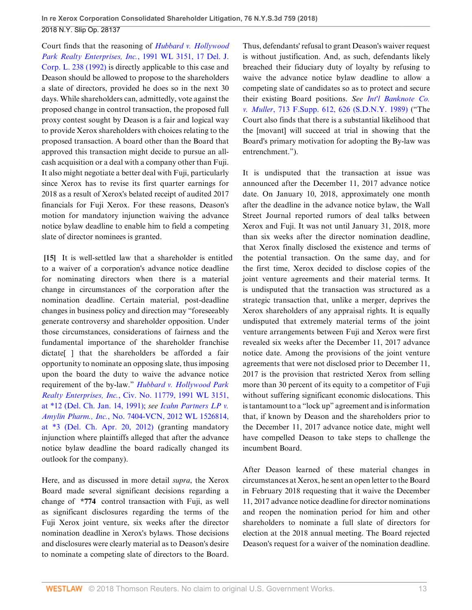Court finds that the reasoning of *[Hubbard v. Hollywood](http://www.westlaw.com/Link/Document/FullText?findType=Y&serNum=1991025525&pubNum=0000999&originatingDoc=Ib9acdcd04f0311e8ab5389d3771bc525&refType=RP&originationContext=document&vr=3.0&rs=cblt1.0&transitionType=DocumentItem&contextData=(sc.Search)) [Park Realty Enterprises, Inc.](http://www.westlaw.com/Link/Document/FullText?findType=Y&serNum=1991025525&pubNum=0000999&originatingDoc=Ib9acdcd04f0311e8ab5389d3771bc525&refType=RP&originationContext=document&vr=3.0&rs=cblt1.0&transitionType=DocumentItem&contextData=(sc.Search))*, 1991 WL 3151, 17 Del. J. [Corp. L. 238 \(1992\)](http://www.westlaw.com/Link/Document/FullText?findType=Y&serNum=1991025525&pubNum=0000999&originatingDoc=Ib9acdcd04f0311e8ab5389d3771bc525&refType=RP&originationContext=document&vr=3.0&rs=cblt1.0&transitionType=DocumentItem&contextData=(sc.Search)) is directly applicable to this case and Deason should be allowed to propose to the shareholders a slate of directors, provided he does so in the next 30 days. While shareholders can, admittedly, vote against the proposed change in control transaction, the proposed full proxy contest sought by Deason is a fair and logical way to provide Xerox shareholders with choices relating to the proposed transaction. A board other than the Board that approved this transaction might decide to pursue an allcash acquisition or a deal with a company other than Fuji. It also might negotiate a better deal with Fuji, particularly since Xerox has to revise its first quarter earnings for 2018 as a result of Xerox's belated receipt of audited 2017 financials for Fuji Xerox. For these reasons, Deason's motion for mandatory injunction waiving the advance notice bylaw deadline to enable him to field a competing slate of director nominees is granted.

<span id="page-12-0"></span>**[\[15](#page-2-3)]** It is well-settled law that a shareholder is entitled to a waiver of a corporation's advance notice deadline for nominating directors when there is a material change in circumstances of the corporation after the nomination deadline. Certain material, post-deadline changes in business policy and direction may "foreseeably generate controversy and shareholder opposition. Under those circumstances, considerations of fairness and the fundamental importance of the shareholder franchise dictate[ ] that the shareholders be afforded a fair opportunity to nominate an opposing slate, thus imposing upon the board the duty to waive the advance notice requirement of the by-law." *[Hubbard v. Hollywood Park](http://www.westlaw.com/Link/Document/FullText?findType=Y&serNum=1991025525&pubNum=0000999&originatingDoc=Ib9acdcd04f0311e8ab5389d3771bc525&refType=RP&originationContext=document&vr=3.0&rs=cblt1.0&transitionType=DocumentItem&contextData=(sc.Search)) Realty Enterprises, Inc.*[, Civ. No. 11779, 1991 WL 3151,](http://www.westlaw.com/Link/Document/FullText?findType=Y&serNum=1991025525&pubNum=0000999&originatingDoc=Ib9acdcd04f0311e8ab5389d3771bc525&refType=RP&originationContext=document&vr=3.0&rs=cblt1.0&transitionType=DocumentItem&contextData=(sc.Search)) [at \\*12 \(Del. Ch. Jan. 14, 1991\)](http://www.westlaw.com/Link/Document/FullText?findType=Y&serNum=1991025525&pubNum=0000999&originatingDoc=Ib9acdcd04f0311e8ab5389d3771bc525&refType=RP&originationContext=document&vr=3.0&rs=cblt1.0&transitionType=DocumentItem&contextData=(sc.Search)); *see [Icahn Partners LP v.](http://www.westlaw.com/Link/Document/FullText?findType=Y&serNum=2027614040&pubNum=0000999&originatingDoc=Ib9acdcd04f0311e8ab5389d3771bc525&refType=RP&originationContext=document&vr=3.0&rs=cblt1.0&transitionType=DocumentItem&contextData=(sc.Search)) Amylin Pharm., Inc.*[, No. 7404-VCN, 2012 WL 1526814,](http://www.westlaw.com/Link/Document/FullText?findType=Y&serNum=2027614040&pubNum=0000999&originatingDoc=Ib9acdcd04f0311e8ab5389d3771bc525&refType=RP&originationContext=document&vr=3.0&rs=cblt1.0&transitionType=DocumentItem&contextData=(sc.Search)) [at \\*3 \(Del. Ch. Apr. 20, 2012\)](http://www.westlaw.com/Link/Document/FullText?findType=Y&serNum=2027614040&pubNum=0000999&originatingDoc=Ib9acdcd04f0311e8ab5389d3771bc525&refType=RP&originationContext=document&vr=3.0&rs=cblt1.0&transitionType=DocumentItem&contextData=(sc.Search)) (granting mandatory injunction where plaintiffs alleged that after the advance notice bylaw deadline the board radically changed its outlook for the company).

Here, and as discussed in more detail *supra*, the Xerox Board made several significant decisions regarding a change of **\*774** control transaction with Fuji, as well as significant disclosures regarding the terms of the Fuji Xerox joint venture, six weeks after the director nomination deadline in Xerox's bylaws. Those decisions and disclosures were clearly material as to Deason's desire to nominate a competing slate of directors to the Board.

Thus, defendants' refusal to grant Deason's waiver request is without justification. And, as such, defendants likely breached their fiduciary duty of loyalty by refusing to waive the advance notice bylaw deadline to allow a competing slate of candidates so as to protect and secure their existing Board positions. *See [Int'l Banknote Co.](http://www.westlaw.com/Link/Document/FullText?findType=Y&serNum=1989077047&pubNum=0000345&originatingDoc=Ib9acdcd04f0311e8ab5389d3771bc525&refType=RP&fi=co_pp_sp_345_626&originationContext=document&vr=3.0&rs=cblt1.0&transitionType=DocumentItem&contextData=(sc.Search)#co_pp_sp_345_626) v. Muller*[, 713 F.Supp. 612, 626 \(S.D.N.Y. 1989\)](http://www.westlaw.com/Link/Document/FullText?findType=Y&serNum=1989077047&pubNum=0000345&originatingDoc=Ib9acdcd04f0311e8ab5389d3771bc525&refType=RP&fi=co_pp_sp_345_626&originationContext=document&vr=3.0&rs=cblt1.0&transitionType=DocumentItem&contextData=(sc.Search)#co_pp_sp_345_626) ("The Court also finds that there is a substantial likelihood that the [movant] will succeed at trial in showing that the Board's primary motivation for adopting the By-law was entrenchment.").

It is undisputed that the transaction at issue was announced after the December 11, 2017 advance notice date. On January 10, 2018, approximately one month after the deadline in the advance notice bylaw, the Wall Street Journal reported rumors of deal talks between Xerox and Fuji. It was not until January 31, 2018, more than six weeks after the director nomination deadline, that Xerox finally disclosed the existence and terms of the potential transaction. On the same day, and for the first time, Xerox decided to disclose copies of the joint venture agreements and their material terms. It is undisputed that the transaction was structured as a strategic transaction that, unlike a merger, deprives the Xerox shareholders of any appraisal rights. It is equally undisputed that extremely material terms of the joint venture arrangements between Fuji and Xerox were first revealed six weeks after the December 11, 2017 advance notice date. Among the provisions of the joint venture agreements that were not disclosed prior to December 11, 2017 is the provision that restricted Xerox from selling more than 30 percent of its equity to a competitor of Fuji without suffering significant economic dislocations. This is tantamount to a "lock up" agreement and is information that, if known by Deason and the shareholders prior to the December 11, 2017 advance notice date, might well have compelled Deason to take steps to challenge the incumbent Board.

After Deason learned of these material changes in circumstances at Xerox, he sent an open letter to the Board in February 2018 requesting that it waive the December 11, 2017 advance notice deadline for director nominations and reopen the nomination period for him and other shareholders to nominate a full slate of directors for election at the 2018 annual meeting. The Board rejected Deason's request for a waiver of the nomination deadline.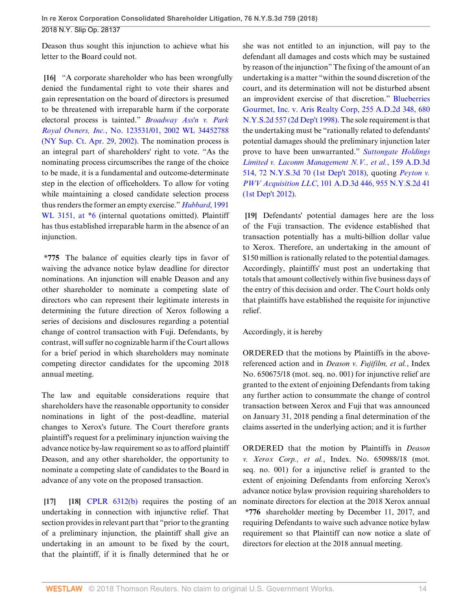Deason thus sought this injunction to achieve what his letter to the Board could not.

<span id="page-13-0"></span>**[\[16](#page-2-4)]** "A corporate shareholder who has been wrongfully denied the fundamental right to vote their shares and gain representation on the board of directors is presumed to be threatened with irreparable harm if the corporate electoral process is tainted." *[Broadway Ass'n v. Park](http://www.westlaw.com/Link/Document/FullText?findType=Y&serNum=2017351771&pubNum=0000999&originatingDoc=Ib9acdcd04f0311e8ab5389d3771bc525&refType=RP&originationContext=document&vr=3.0&rs=cblt1.0&transitionType=DocumentItem&contextData=(sc.Search)) Royal Owners, Inc.*[, No. 123531/01, 2002 WL 34452788](http://www.westlaw.com/Link/Document/FullText?findType=Y&serNum=2017351771&pubNum=0000999&originatingDoc=Ib9acdcd04f0311e8ab5389d3771bc525&refType=RP&originationContext=document&vr=3.0&rs=cblt1.0&transitionType=DocumentItem&contextData=(sc.Search)) [\(NY Sup. Ct. Apr. 29, 2002\).](http://www.westlaw.com/Link/Document/FullText?findType=Y&serNum=2017351771&pubNum=0000999&originatingDoc=Ib9acdcd04f0311e8ab5389d3771bc525&refType=RP&originationContext=document&vr=3.0&rs=cblt1.0&transitionType=DocumentItem&contextData=(sc.Search)) The nomination process is an integral part of shareholders' right to vote. "As the nominating process circumscribes the range of the choice to be made, it is a fundamental and outcome-determinate step in the election of officeholders. To allow for voting while maintaining a closed candidate selection process thus renders the former an empty exercise." *[Hubbard](http://www.westlaw.com/Link/Document/FullText?findType=Y&serNum=1991025525&pubNum=0000999&originatingDoc=Ib9acdcd04f0311e8ab5389d3771bc525&refType=RP&originationContext=document&vr=3.0&rs=cblt1.0&transitionType=DocumentItem&contextData=(sc.Search))*, 1991 [WL 3151, at \\*6](http://www.westlaw.com/Link/Document/FullText?findType=Y&serNum=1991025525&pubNum=0000999&originatingDoc=Ib9acdcd04f0311e8ab5389d3771bc525&refType=RP&originationContext=document&vr=3.0&rs=cblt1.0&transitionType=DocumentItem&contextData=(sc.Search)) (internal quotations omitted). Plaintiff has thus established irreparable harm in the absence of an injunction.

**\*775** The balance of equities clearly tips in favor of waiving the advance notice bylaw deadline for director nominations. An injunction will enable Deason and any other shareholder to nominate a competing slate of directors who can represent their legitimate interests in determining the future direction of Xerox following a series of decisions and disclosures regarding a potential change of control transaction with Fuji. Defendants, by contrast, will suffer no cognizable harm if the Court allows for a brief period in which shareholders may nominate competing director candidates for the upcoming 2018 annual meeting.

The law and equitable considerations require that shareholders have the reasonable opportunity to consider nominations in light of the post-deadline, material changes to Xerox's future. The Court therefore grants plaintiff's request for a preliminary injunction waiving the advance notice by-law requirement so as to afford plaintiff Deason, and any other shareholder, the opportunity to nominate a competing slate of candidates to the Board in advance of any vote on the proposed transaction.

<span id="page-13-2"></span><span id="page-13-1"></span>**[\[17](#page-2-5)] [\[18](#page-2-6)]** [CPLR 6312\(b\)](http://www.westlaw.com/Link/Document/FullText?findType=L&pubNum=1000059&cite=NYCPR6312&originatingDoc=Ib9acdcd04f0311e8ab5389d3771bc525&refType=SP&originationContext=document&vr=3.0&rs=cblt1.0&transitionType=DocumentItem&contextData=(sc.Search)#co_pp_a83b000018c76) requires the posting of an undertaking in connection with injunctive relief. That section provides in relevant part that "prior to the granting of a preliminary injunction, the plaintiff shall give an undertaking in an amount to be fixed by the court, that the plaintiff, if it is finally determined that he or

she was not entitled to an injunction, will pay to the defendant all damages and costs which may be sustained by reason of the injunction" The fixing of the amount of an undertaking is a matter "within the sound discretion of the court, and its determination will not be disturbed absent an improvident exercise of that discretion." [Blueberries](http://www.westlaw.com/Link/Document/FullText?findType=Y&serNum=1998233372&pubNum=0000602&originatingDoc=Ib9acdcd04f0311e8ab5389d3771bc525&refType=RP&originationContext=document&vr=3.0&rs=cblt1.0&transitionType=DocumentItem&contextData=(sc.Search)) [Gourmet, Inc. v. Aris Realty Corp, 255 A.D.2d 348, 680](http://www.westlaw.com/Link/Document/FullText?findType=Y&serNum=1998233372&pubNum=0000602&originatingDoc=Ib9acdcd04f0311e8ab5389d3771bc525&refType=RP&originationContext=document&vr=3.0&rs=cblt1.0&transitionType=DocumentItem&contextData=(sc.Search)) [N.Y.S.2d 557 \(2d Dep't 1998\).](http://www.westlaw.com/Link/Document/FullText?findType=Y&serNum=1998233372&pubNum=0000602&originatingDoc=Ib9acdcd04f0311e8ab5389d3771bc525&refType=RP&originationContext=document&vr=3.0&rs=cblt1.0&transitionType=DocumentItem&contextData=(sc.Search)) The sole requirement is that the undertaking must be "rationally related to defendants' potential damages should the preliminary injunction later prove to have been unwarranted." *[Suttongate Holdings](http://www.westlaw.com/Link/Document/FullText?findType=Y&serNum=2044062764&pubNum=0007049&originatingDoc=Ib9acdcd04f0311e8ab5389d3771bc525&refType=RP&originationContext=document&vr=3.0&rs=cblt1.0&transitionType=DocumentItem&contextData=(sc.Search)) [Limited v. Laconm Management N.V., et al.](http://www.westlaw.com/Link/Document/FullText?findType=Y&serNum=2044062764&pubNum=0007049&originatingDoc=Ib9acdcd04f0311e8ab5389d3771bc525&refType=RP&originationContext=document&vr=3.0&rs=cblt1.0&transitionType=DocumentItem&contextData=(sc.Search))*, 159 A.D.3d [514, 72 N.Y.S.3d 70 \(1st Dep't 2018\)](http://www.westlaw.com/Link/Document/FullText?findType=Y&serNum=2044062764&pubNum=0007049&originatingDoc=Ib9acdcd04f0311e8ab5389d3771bc525&refType=RP&originationContext=document&vr=3.0&rs=cblt1.0&transitionType=DocumentItem&contextData=(sc.Search)), quoting *[Peyton v.](http://www.westlaw.com/Link/Document/FullText?findType=Y&serNum=2029352527&pubNum=0000602&originatingDoc=Ib9acdcd04f0311e8ab5389d3771bc525&refType=RP&originationContext=document&vr=3.0&rs=cblt1.0&transitionType=DocumentItem&contextData=(sc.Search)) PWV Acquisition LLC*[, 101 A.D.3d 446, 955 N.Y.S.2d 41](http://www.westlaw.com/Link/Document/FullText?findType=Y&serNum=2029352527&pubNum=0000602&originatingDoc=Ib9acdcd04f0311e8ab5389d3771bc525&refType=RP&originationContext=document&vr=3.0&rs=cblt1.0&transitionType=DocumentItem&contextData=(sc.Search)) [\(1st Dep't 2012\)](http://www.westlaw.com/Link/Document/FullText?findType=Y&serNum=2029352527&pubNum=0000602&originatingDoc=Ib9acdcd04f0311e8ab5389d3771bc525&refType=RP&originationContext=document&vr=3.0&rs=cblt1.0&transitionType=DocumentItem&contextData=(sc.Search)).

<span id="page-13-3"></span>**[\[19](#page-2-1)]** Defendants' potential damages here are the loss of the Fuji transaction. The evidence established that transaction potentially has a multi-billion dollar value to Xerox. Therefore, an undertaking in the amount of \$150 million is rationally related to the potential damages. Accordingly, plaintiffs' must post an undertaking that totals that amount collectively within five business days of the entry of this decision and order. The Court holds only that plaintiffs have established the requisite for injunctive relief.

## Accordingly, it is hereby

ORDERED that the motions by Plaintiffs in the abovereferenced action and in *Deason v. Fujifilm, et al.*, Index No. 650675/18 (mot. seq. no. 001) for injunctive relief are granted to the extent of enjoining Defendants from taking any further action to consummate the change of control transaction between Xerox and Fuji that was announced on January 31, 2018 pending a final determination of the claims asserted in the underlying action; and it is further

ORDERED that the motion by Plaintiffs in *Deason v. Xerox Corp., et al.*, Index. No. 650988/18 (mot. seq. no. 001) for a injunctive relief is granted to the extent of enjoining Defendants from enforcing Xerox's advance notice bylaw provision requiring shareholders to nominate directors for election at the 2018 Xerox annual **\*776** shareholder meeting by December 11, 2017, and requiring Defendants to waive such advance notice bylaw requirement so that Plaintiff can now notice a slate of directors for election at the 2018 annual meeting.